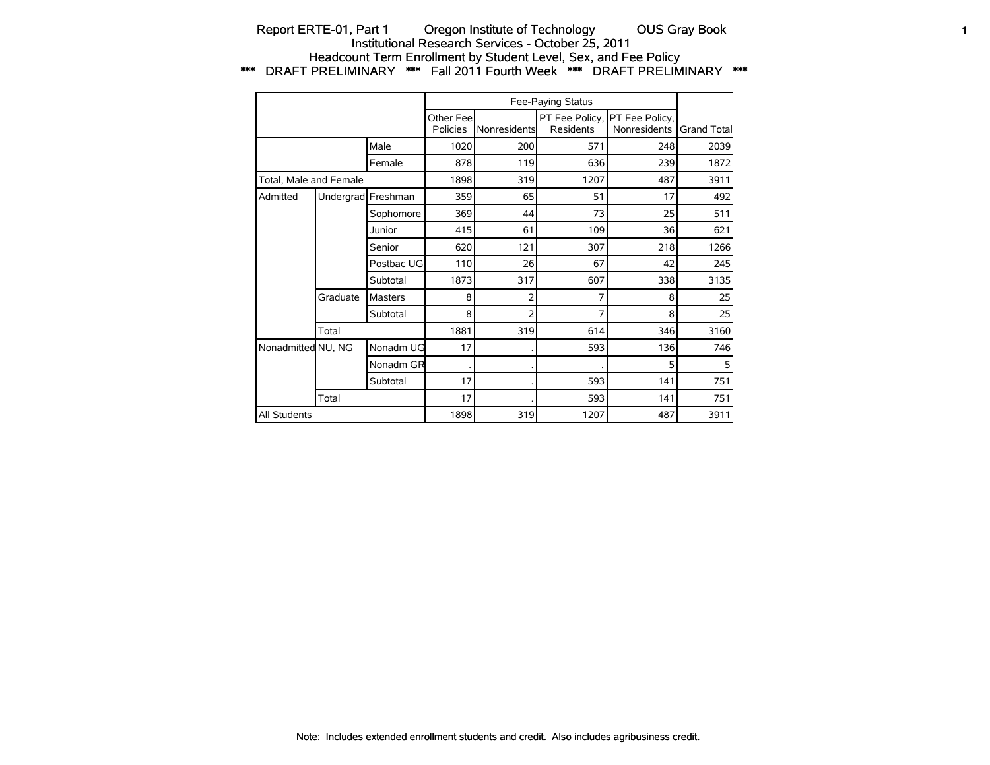## Report ERTE-01, Part 1 Oregon Institute of Technology OUS Gray Book 1 Institutional Research Services - October 25, 2011 Headcount Term Enrollment by Student Level, Sex, and Fee Policy \*\*\* DRAFT PRELIMINARY \*\*\* Fall 2011 Fourth Week \*\*\* DRAFT PRELIMINARY \*\*\*

|                        |                    |                |                       |              | Fee-Paying Status                  |                                |             |
|------------------------|--------------------|----------------|-----------------------|--------------|------------------------------------|--------------------------------|-------------|
|                        |                    |                | Other Fee<br>Policies | Nonresidents | PT Fee Policy,<br><b>Residents</b> | PT Fee Policy,<br>Nonresidents | Grand Total |
|                        |                    | Male           | 1020                  | 200          | 571                                | 248                            | 2039        |
|                        |                    | Female         | 878                   | 119          | 636                                | 239                            | 1872        |
| Total, Male and Female |                    |                | 1898                  | 319          | 1207                               | 487                            | 3911        |
| Admitted               | Undergrad Freshman |                | 359                   | 65           | 51                                 | 17                             | 492         |
|                        |                    | Sophomore      | 369                   | 44           | 73                                 | 25                             | 511         |
|                        |                    | Junior         | 415                   | 61           | 109                                | 36                             | 621         |
|                        |                    | Senior         | 620                   | 121          | 307                                | 218                            | 1266        |
|                        |                    | Postbac UG     | 110                   | 26           | 67                                 | 42                             | 245         |
|                        |                    | Subtotal       | 1873                  | 317          | 607                                | 338                            | 3135        |
|                        | Graduate           | <b>Masters</b> | 8                     | 2            |                                    | 8                              | 25          |
|                        |                    | Subtotal       | 8                     | 2            |                                    | 8                              | 25          |
|                        | Total              |                | 1881                  | 319          | 614                                | 346                            | 3160        |
| Nonadmitted NU, NG     |                    | Nonadm UG      | 17                    |              | 593                                | 136                            | 746         |
|                        |                    | Nonadm GR      |                       |              |                                    | 5                              | 5           |
|                        |                    | Subtotal       | 17                    |              | 593                                | 141                            | 751         |
|                        | Total              |                | 17                    |              | 593                                | 141                            | 751         |
| All Students           |                    |                | 1898                  | 319          | 1207                               | 487                            | 3911        |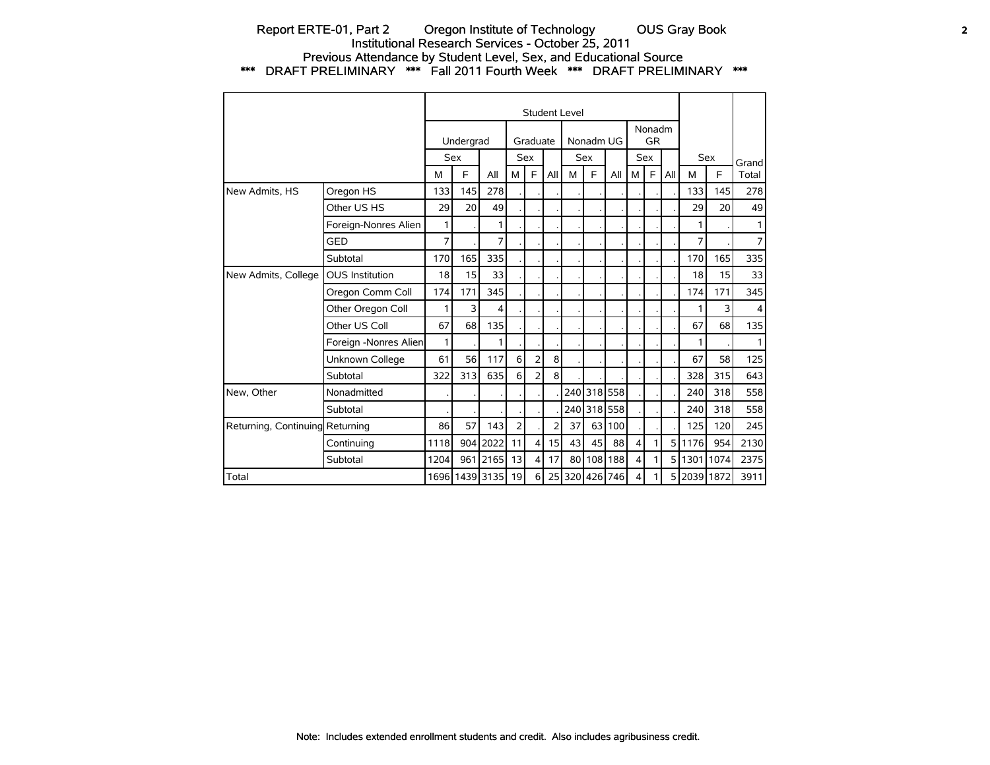## Report ERTE-01, Part 2 Oregon Institute of Technology OUS Gray Book 2 Institutional Research Services - October 25, 2011 Previous Attendance by Student Level, Sex, and Educational Source \*\*\* DRAFT PRELIMINARY \*\*\* Fall 2011 Fourth Week \*\*\* DRAFT PRELIMINARY \*\*\*

|                                 |                        |      |           |                |                |                |                | Student Level  |           |             |                         |                     |     |             |            |                |
|---------------------------------|------------------------|------|-----------|----------------|----------------|----------------|----------------|----------------|-----------|-------------|-------------------------|---------------------|-----|-------------|------------|----------------|
|                                 |                        |      | Undergrad |                |                | Graduate       |                |                | Nonadm UG |             |                         | Nonadm<br><b>GR</b> |     |             |            |                |
|                                 |                        |      | Sex       |                |                | Sex            |                |                | Sex       |             |                         | <b>Sex</b>          |     |             | <b>Sex</b> | Grandl         |
|                                 |                        | M    | E         | All            | M              | F.             | All            | M              | E         | All         | м                       | F                   | All | M           | F          | Total          |
| New Admits, HS                  | Oregon HS              | 133  | 145       | 278            |                |                |                |                |           |             |                         |                     |     | 133         | 145        | 278            |
|                                 | Other US HS            | 29   | 20        | 49             |                |                |                |                |           |             |                         |                     |     | 29          | 20         | 49             |
|                                 | Foreign-Nonres Alien   | 1    |           | 1              |                |                |                |                |           |             |                         |                     |     |             |            | $\mathbf{1}$   |
|                                 | GED                    | 7    |           | 7              |                |                |                |                |           |             |                         |                     |     | 7           |            | 7 <sup>1</sup> |
|                                 | Subtotal               | 170  | 165       | 335            |                |                |                |                |           |             |                         |                     |     | 170         | 165        | 335            |
| New Admits, College             | <b>OUS Institution</b> | 18   | 15        | 33             |                |                |                |                |           |             |                         |                     |     | 18          | 15         | 33             |
|                                 | Oregon Comm Coll       | 174  | 171       | 345            |                |                |                |                |           |             |                         |                     |     | 174         | 171        | 345            |
|                                 | Other Oregon Coll      | 1    | 3         | 4              |                |                |                |                |           |             |                         |                     |     |             | 3          | $\vert$        |
|                                 | Other US Coll          | 67   | 68        | 135            |                |                |                |                |           |             |                         |                     |     | 67          | 68         | 135            |
|                                 | Foreign -Nonres Alien  | 1    |           | 1              |                |                |                |                |           |             |                         |                     |     | 1           |            | $\mathbf{1}$   |
|                                 | Unknown College        | 61   | 56        | 117            | 6              | $\overline{2}$ | 8 <sup>1</sup> |                |           |             |                         |                     |     | 67          | 58         | 125            |
|                                 | Subtotal               | 322  | 313       | 635            | 6              | $\overline{2}$ | 8 <sup>1</sup> |                |           |             |                         |                     |     | 328         | 315        | 643            |
| New, Other                      | Nonadmitted            |      |           |                |                |                |                |                |           | 240 318 558 |                         |                     |     | 240         | 318        | 558            |
|                                 | Subtotal               |      |           |                |                |                |                | 240 l          |           | 318 558     |                         |                     |     | 240         | 318        | 558            |
| Returning, Continuing Returning |                        | 86   | 57        | 143            | $\overline{2}$ |                | 2              | 37             |           | 63 100      |                         |                     |     | 125         | 120        | 245            |
|                                 | Continuing             | 1118 |           | 904 2022       | 11             | $\overline{4}$ | 15             | 43             | 45        | 88          | $\overline{\mathbf{4}}$ | 1                   | 51  | 1176        | 954        | 2130           |
|                                 | Subtotal               | 1204 | 961       | 2165           | 13             | $\overline{4}$ | 17             | 80             |           | 108 188     | 4                       |                     | 51  |             | 1301 1074  | 2375           |
| Total                           |                        |      |           | 1696 1439 3135 | 19             | 6              |                | 25 320 426 746 |           |             | 4                       |                     |     | 5 2039 1872 |            | 3911           |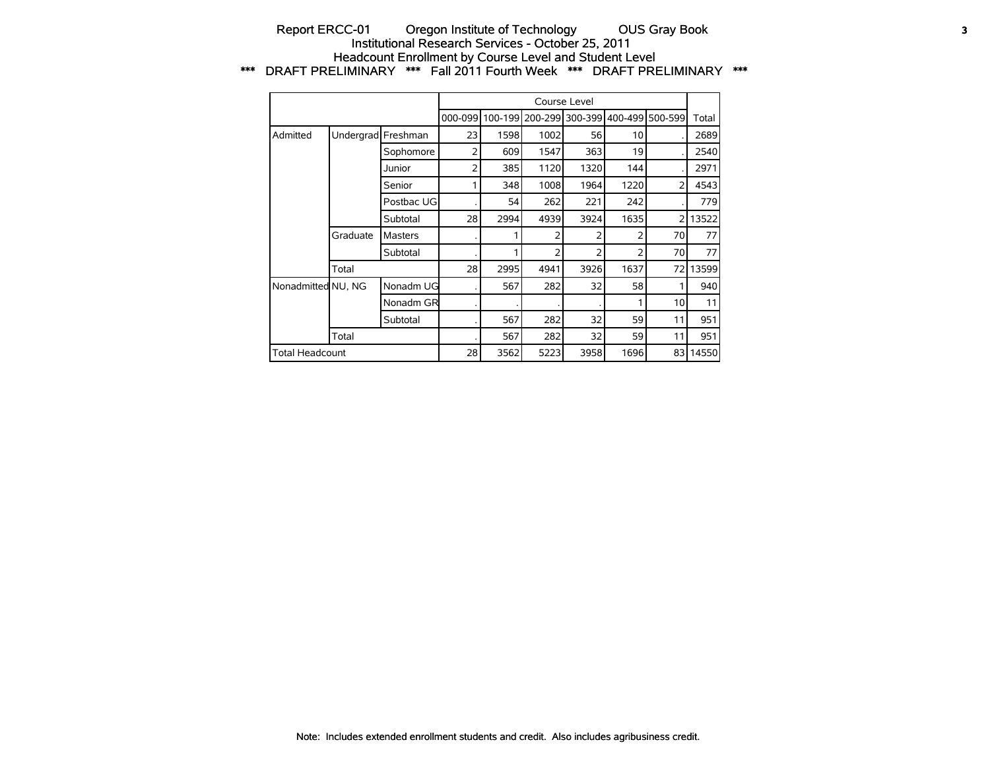## Report ERCC-01 Oregon Institute of Technology OUS Gray Book 3 Institutional Research Services - October 25, 2011 Headcount Enrollment by Course Level and Student Level \*\*\* DRAFT PRELIMINARY \*\*\* Fall 2011 Fourth Week \*\*\* DRAFT PRELIMINARY \*\*\*

|                        |          |                    |         |      |                         | Course Level |      |                 |       |
|------------------------|----------|--------------------|---------|------|-------------------------|--------------|------|-----------------|-------|
|                        |          |                    | 000-099 |      | 100-199 200-299 300-399 |              |      | 400-499 500-599 | Total |
| Admitted               |          | Undergrad Freshman | 23      | 1598 | 1002                    | 56           | 10   |                 | 2689  |
|                        |          | Sophomore          | 2       | 609  | 1547                    | 363          | 19   |                 | 2540  |
|                        |          | Junior             | 2       | 385  | 1120                    | 1320         | 144  |                 | 2971  |
|                        |          | Senior             |         | 348  | 1008                    | 1964         | 1220 | $\overline{2}$  | 4543  |
|                        |          | Postbac UG         |         | 54   | 262                     | 221          | 242  |                 | 779   |
|                        |          | Subtotal           | 28      | 2994 | 4939                    | 3924         | 1635 | 2               | 13522 |
|                        | Graduate | <b>Masters</b>     |         |      | $\overline{2}$          | 2            | 2    | 70              | 77    |
|                        |          | Subtotal           |         |      | 2                       | 2            | フ    | 70              | 77    |
|                        | Total    |                    | 28      | 2995 | 4941                    | 3926         | 1637 | 72              | 13599 |
| Nonadmitted NU, NG     |          | Nonadm UG          |         | 567  | 282                     | 32           | 58   |                 | 940   |
|                        |          | Nonadm GR          |         |      |                         |              |      | 10              | 11    |
|                        |          | Subtotal           |         | 567  | 282                     | 32           | 59   | 11              | 951   |
|                        | Total    |                    |         | 567  | 282                     | 32           | 59   | 11              | 951   |
| <b>Total Headcount</b> |          |                    | 28      | 3562 | 5223                    | 3958         | 1696 | 83              | 14550 |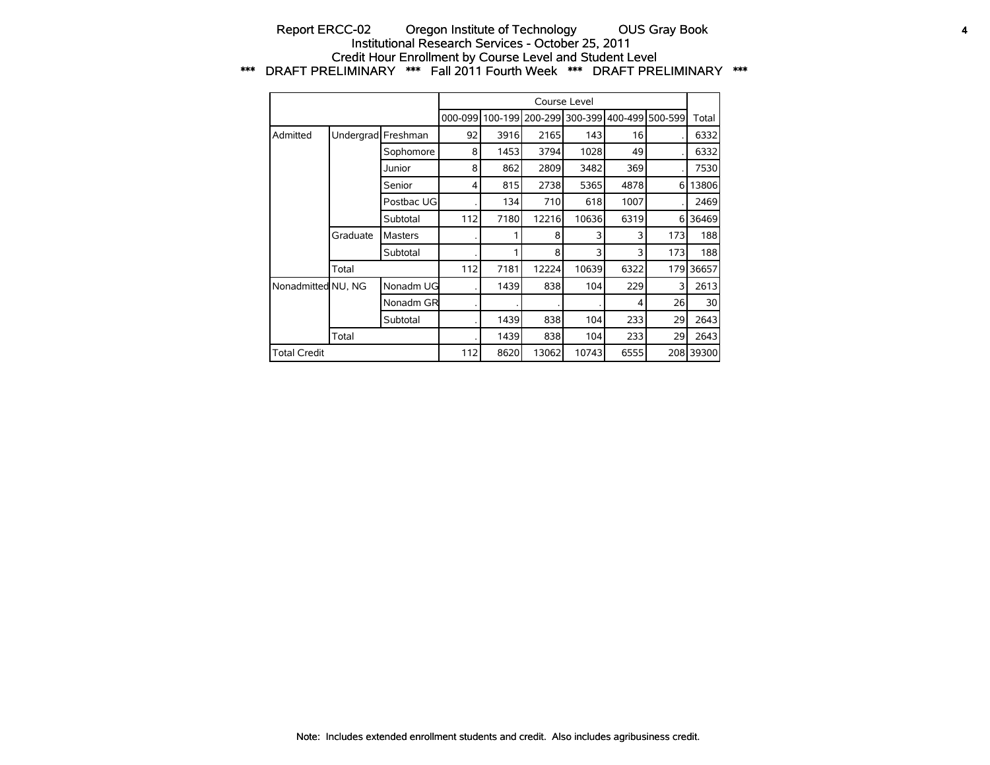## Report ERCC-02 Oregon Institute of Technology OUS Gray Book 4 Institutional Research Services - October 25, 2011 Credit Hour Enrollment by Course Level and Student Level \*\*\* DRAFT PRELIMINARY \*\*\* Fall 2011 Fourth Week \*\*\* DRAFT PRELIMINARY \*\*\*

|                     |          |                    |         |         |       | Course Level    |      |                 |           |
|---------------------|----------|--------------------|---------|---------|-------|-----------------|------|-----------------|-----------|
|                     |          |                    | 000-099 | 100-199 |       | 200-299 300-399 |      | 400-499 500-599 | Total     |
| Admitted            |          | Undergrad Freshman | 92      | 3916    | 2165  | 143             | 16   |                 | 6332      |
|                     |          | Sophomore          | 8       | 1453    | 3794  | 1028            | 49   |                 | 6332      |
|                     |          | Junior             | 8       | 862     | 2809  | 3482            | 369  |                 | 7530      |
|                     |          | Senior             | 4       | 815     | 2738  | 5365            | 4878 | 6               | 13806     |
|                     |          | Postbac UG         |         | 134     | 710   | 618             | 1007 |                 | 2469      |
|                     |          | Subtotal           | 112     | 7180    | 12216 | 10636           | 6319 | 6               | 36469     |
|                     | Graduate | Masters            |         |         | 8     | 3               | 3    | 173             | 188       |
|                     |          | Subtotal           |         |         | 8     | 3               | 3    | 173             | 188       |
|                     | Total    |                    | 112     | 7181    | 12224 | 10639           | 6322 | 179             | 36657     |
| Nonadmitted NU, NG  |          | Nonadm UG          |         | 1439    | 838   | 104             | 229  | 3               | 2613      |
|                     |          | Nonadm GR          |         |         |       |                 | 4    | 26              | 30        |
|                     |          | Subtotal           |         | 1439    | 838   | 104             | 233  | 29              | 2643      |
|                     | Total    |                    |         | 1439    | 838   | 104             | 233  | 29              | 2643      |
| <b>Total Credit</b> |          |                    | 112     | 8620    | 13062 | 10743           | 6555 |                 | 208 39300 |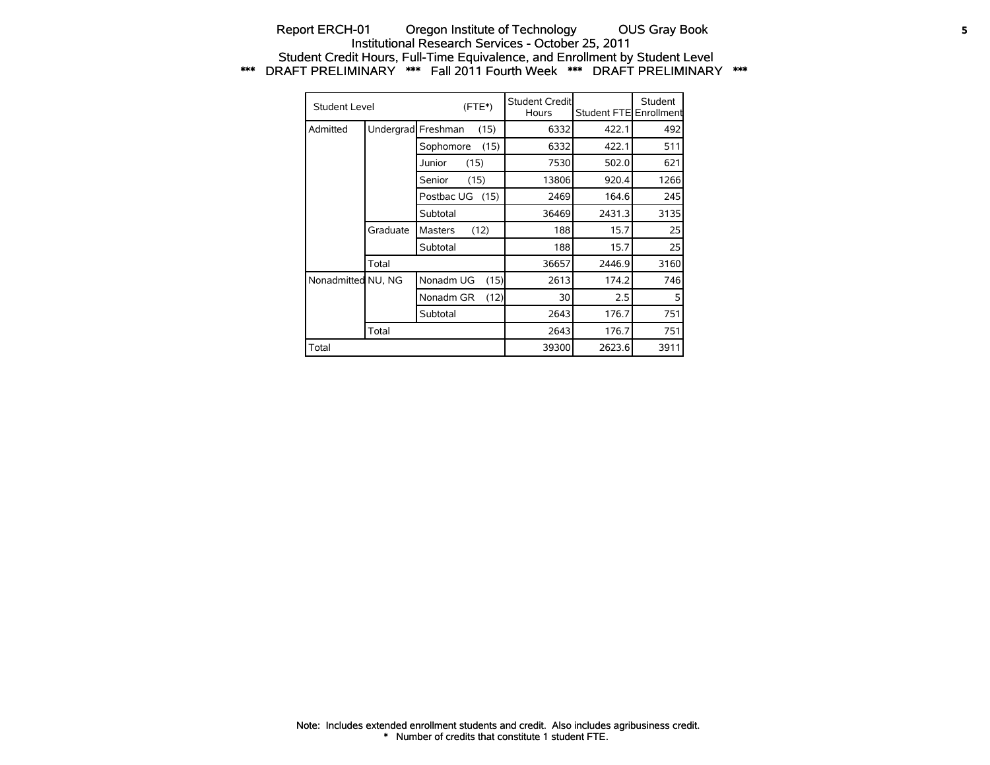## Report ERCH-01 Oregon Institute of Technology OUS Gray Book 5 Institutional Research Services - October 25, 2011 Student Credit Hours, Full-Time Equivalence, and Enrollment by Student Level \*\*\* DRAFT PRELIMINARY \*\*\* Fall 2011 Fourth Week \*\*\* DRAFT PRELIMINARY \*\*\*

| Student Level      |           |                | $(FTE*)$ | Student Credit<br>Hours | Student FTE Enrollment | Student |
|--------------------|-----------|----------------|----------|-------------------------|------------------------|---------|
| Admitted           | Undergrad | Freshman       | (15)     | 6332                    | 422.1                  | 492     |
|                    |           | Sophomore      | (15)     | 6332                    | 422.1                  | 511     |
|                    |           | Junior         | (15)     | 7530                    | 502.0                  | 621     |
|                    |           | Senior         | (15)     | 13806                   | 920.4                  | 1266    |
|                    |           | Postbac UG     | (15)     | 2469                    | 164.6                  | 245     |
|                    |           | Subtotal       |          | 36469                   | 2431.3                 | 3135    |
|                    | Graduate  | <b>Masters</b> | (12)     | 188                     | 15.7                   | 25      |
|                    |           | Subtotal       |          | 188                     | 15.7                   | 25      |
|                    | Total     |                |          | 36657                   | 2446.9                 | 3160    |
| Nonadmitted NU, NG |           | Nonadm UG      | (15)     | 2613                    | 174.2                  | 746     |
|                    |           | Nonadm GR      | (12)     | 30                      | 2.5                    | 5       |
|                    |           | Subtotal       |          | 2643                    | 176.7                  | 751     |
|                    | Total     |                |          | 2643                    | 176.7                  | 751     |
| Total              |           |                |          | 39300                   | 2623.6                 | 3911    |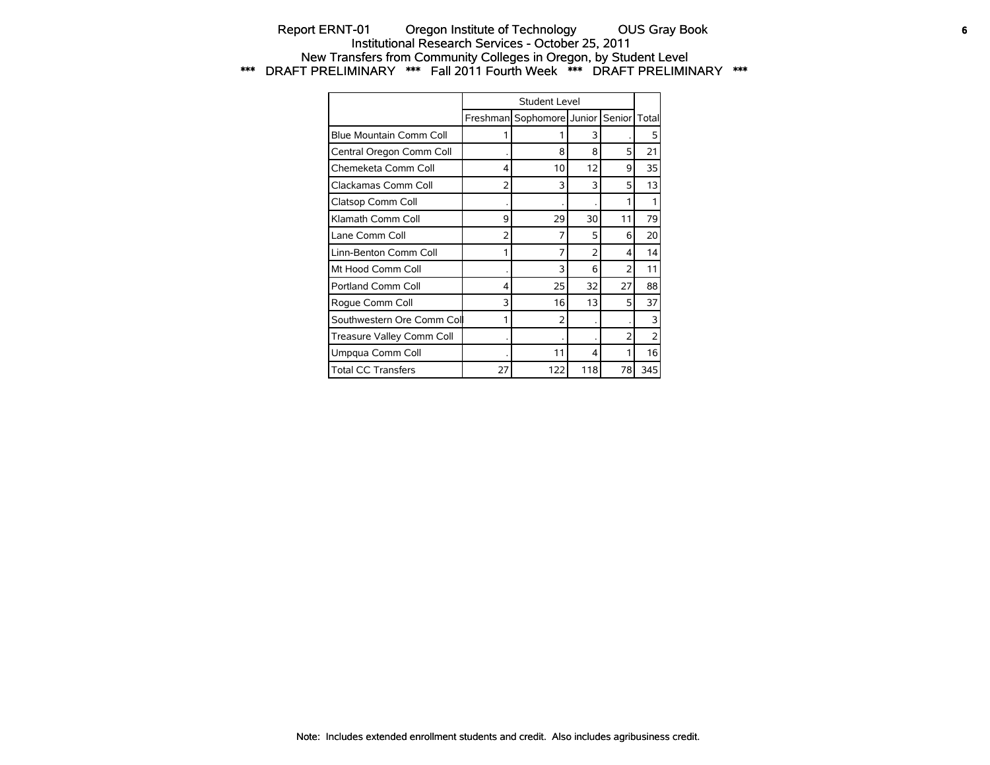## Report ERNT-01 Oregon Institute of Technology OUS Gray Book **6** Institutional Research Services - October 25, 2011 New Transfers from Community Colleges in Oregon, by Student Level \*\*\* DRAFT PRELIMINARY \*\*\* Fall 2011 Fourth Week \*\*\* DRAFT PRELIMINARY \*\*\*

|                           |    | Student Level             |     |                |                          |
|---------------------------|----|---------------------------|-----|----------------|--------------------------|
|                           |    | Freshman Sophomore Junior |     | Senior         | Total                    |
| Blue Mountain Comm Coll   |    |                           | 3   |                | 5                        |
| Central Oregon Comm Coll  |    | 8                         | 8   | 5              | 21                       |
| Chemeketa Comm Coll       | 4  | 10                        | 12  | 9              | 35                       |
| Clackamas Comm Coll       | 2  | 3                         | 3   | 5              | 13                       |
| Clatsop Comm Coll         |    |                           |     |                |                          |
| Klamath Comm Coll         | 9  | 29                        | 30  | 11             | 79                       |
| Lane Comm Coll            | 2  | 7                         | 5   | 6              | 20                       |
| Linn-Benton Comm Coll     | 1  | 7                         | 2   | 4              | 14                       |
| Mt Hood Comm Coll         |    | 3                         | 6   | $\overline{2}$ | 11                       |
| <b>Portland Comm Coll</b> | 4  | 25                        | 32  | 27             | 88                       |
| Roque Comm Coll           | 3  | 16                        | 13  | 5              | 37                       |
| Southwestern Ore Comm Col | 1  | $\overline{2}$            |     |                | 3                        |
| Treasure Valley Comm Coll |    |                           |     | 2              | $\overline{\phantom{0}}$ |
| Umpqua Comm Coll          |    | 11                        | 4   |                | 16                       |
| <b>Total CC Transfers</b> | 27 | 122                       | 118 | 78             | 345                      |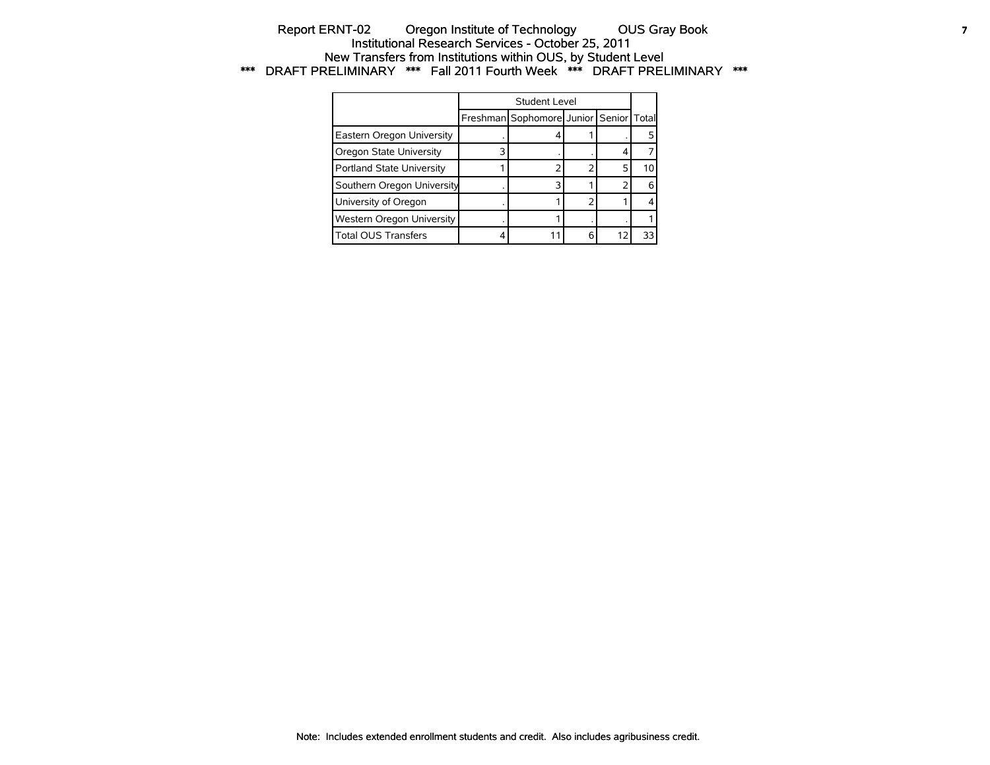## Report ERNT-02 Oregon Institute of Technology OUS Gray Book **7** Institutional Research Services - October 25, 2011 New Transfers from Institutions within OUS, by Student Level \*\*\* DRAFT PRELIMINARY \*\*\* Fall 2011 Fourth Week \*\*\* DRAFT PRELIMINARY \*\*\*

|                            | Student Level                          |  |    |
|----------------------------|----------------------------------------|--|----|
|                            | Freshman Sophomore Junior Senior Total |  |    |
| Eastern Oregon University  |                                        |  |    |
| Oregon State University    |                                        |  |    |
| Portland State University  |                                        |  | 10 |
| Southern Oregon University |                                        |  |    |
| University of Oregon       |                                        |  |    |
| Western Oregon University  |                                        |  |    |
| <b>Total OUS Transfers</b> |                                        |  | ٦٦ |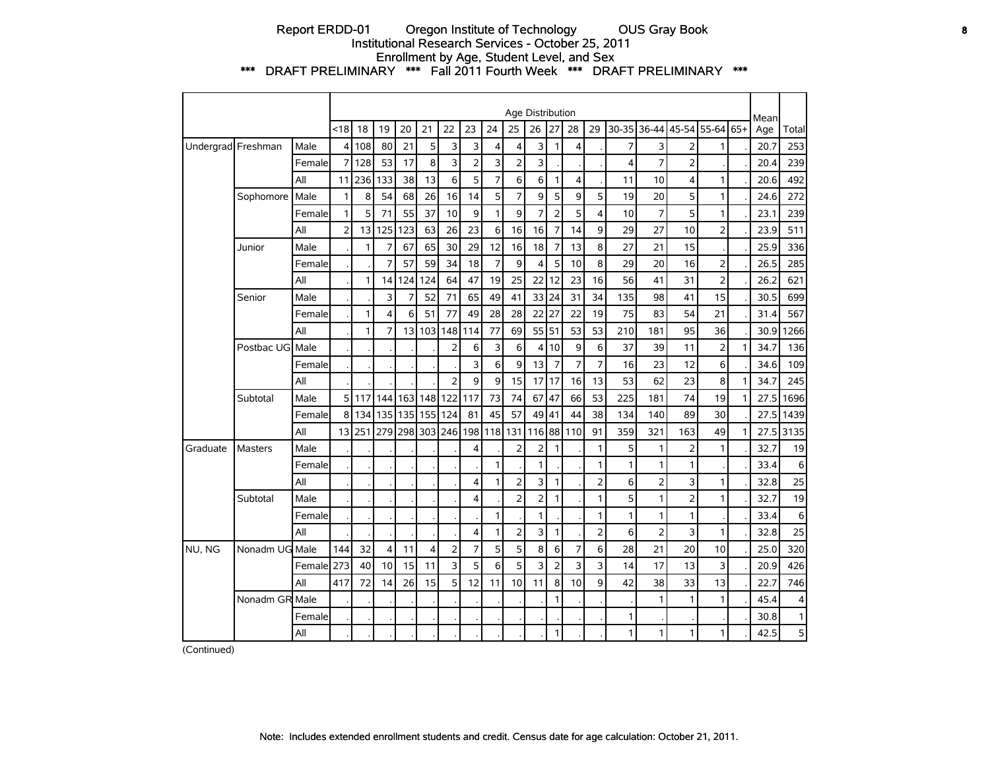## Report ERDD-01 Oregon Institute of Technology OUS Gray Book **8** Institutional Research Services - October 25, 2011 Enrollment by Age, Student Level, and Sex \*\*\* DRAFT PRELIMINARY \*\*\* Fall 2011 Fourth Week \*\*\* DRAFT PRELIMINARY \*\*\*

|          |                    |         |                |              |                |                |     |                |                |     |                | Age Distribution |                |                |                |              |                |                         |                         |              | Mean |       |
|----------|--------------------|---------|----------------|--------------|----------------|----------------|-----|----------------|----------------|-----|----------------|------------------|----------------|----------------|----------------|--------------|----------------|-------------------------|-------------------------|--------------|------|-------|
|          |                    |         | <18            | 18           | 19             | 20             | 21  | 22             | 23             | 24  | 25             | 26               | 27             | 28             | 29             |              |                |                         | 30-35 36-44 45-54 55-64 | 65+          | Age  | Total |
|          | Undergrad Freshman | Male    | 4              | 108          | 80             | 21             | 5   | 3              | 3              | 4   | 4              | 3                | 1              | $\overline{4}$ |                | 7            | 3              | $\overline{2}$          | 1                       |              | 20.7 | 253   |
|          |                    | Female  | $\overline{7}$ | 128          | 53             | 17             | 8   | 3              | $\overline{2}$ | 3   | $\overline{2}$ | 3                |                |                |                | 4            | $\overline{7}$ | $\overline{2}$          |                         |              | 20.4 | 239   |
|          |                    | All     | 11             | 236          | 133            | 38             | 13  | 6              | 5              | 7   | 6              | 6                | 1              | $\overline{4}$ |                | 11           | 10             | $\overline{\mathbf{4}}$ | 1                       |              | 20.6 | 492   |
|          | Sophomore          | Male    | 1              | 8            | 54             | 68             | 26  | 16             | 14             | 5   | $\overline{7}$ | 9                | 5              | 9              | 5              | 19           | 20             | 5                       | 1                       |              | 24.6 | 272   |
|          |                    | Female  | $\mathbf{1}$   | 5            | 71             | 55             | 37  | 10             | 9              | 1   | 9              | $\overline{7}$   | $\overline{2}$ | 5              | 4              | 10           | $\overline{7}$ | 5                       | 1                       |              | 23.1 | 239   |
|          |                    | All     | $\overline{2}$ | 13           | 125            | 123            | 63  | 26             | 23             | 6   | 16             | 16               | 7              | 14             | 9              | 29           | 27             | 10                      | 2                       |              | 23.9 | 511   |
|          | Junior             | Male    |                | $\mathbf{1}$ | 7              | 67             | 65  | 30             | 29             | 12  | 16             | 18               | 7              | 13             | 8              | 27           | 21             | 15                      |                         |              | 25.9 | 336   |
|          |                    | Female  |                |              | 7              | 57             | 59  | 34             | 18             | 7   | 9              | 4                | 5              | 10             | 8              | 29           | 20             | 16                      | $\overline{2}$          |              | 26.5 | 285   |
|          |                    | All     |                | $\mathbf{1}$ | 14             | 124            | 124 | 64             | 47             | 19  | 25             | 22               | 12             | 23             | 16             | 56           | 41             | 31                      | $\overline{2}$          |              | 26.2 | 621   |
|          | Senior             | Male    |                |              | 3              | $\overline{7}$ | 52  | 71             | 65             | 49  | 41             | 33 24            |                | 31             | 34             | 135          | 98             | 41                      | 15                      |              | 30.5 | 699   |
|          |                    | Female  |                | $\mathbf{1}$ | 4              | 6              | 51  | 77             | 49             | 28  | 28             | 22               | 27             | 22             | 19             | 75           | 83             | 54                      | 21                      |              | 31.4 | 567   |
|          |                    | All     |                | $\mathbf{1}$ | $\overline{7}$ | 13             | 103 | 148            | 114            | 77  | 69             | 55 51            |                | 53             | 53             | 210          | 181            | 95                      | 36                      |              | 30.9 | 1266  |
|          | Postbac UG         | Male    |                |              |                |                |     | $\overline{2}$ | 6              | 3   | 6              | 4                | 10             | 9              | 6              | 37           | 39             | 11                      | $\overline{2}$          | $\mathbf{1}$ | 34.7 | 136   |
|          |                    | Female  |                |              |                |                |     |                | 3              | 6   | 9              | 13               | 7              | 7              | 7              | 16           | 23             | 12                      | 6                       |              | 34.6 | 109   |
|          |                    | All     |                |              |                |                |     | $\overline{2}$ | 9              | 9   | 15             | 17               | 17             | 16             | 13             | 53           | 62             | 23                      | 8                       | 1            | 34.7 | 245   |
|          | Subtotal           | Male    | 5              | 117          | 144            | 163            |     | 148 122        | 117            | 73  | 74             | 67               | 47             | 66             | 53             | 225          | 181            | 74                      | 19                      | $\mathbf{1}$ | 27.5 | 1696  |
|          |                    | Female  | 8              | 134          | 135            | 135            | 155 | 124            | 81             | 45  | 57             | 49               | 41             | 44             | 38             | 134          | 140            | 89                      | 30                      |              | 27.5 | 1439  |
|          |                    | All     | 13             | 251          | 279            | 298            | 303 | 246            | 198            | 118 | 131            | 116              | 88             | 110            | 91             | 359          | 321            | 163                     | 49                      | 1            | 27.5 | 3135  |
| Graduate | <b>Masters</b>     | Male    |                |              |                |                |     |                | $\overline{4}$ |     | $\overline{2}$ | 2                | 1              |                | 1              | 5            | $\mathbf{1}$   | $\overline{2}$          | 1                       |              | 32.7 | 19    |
|          |                    | Female  |                |              |                |                |     |                |                | 1   |                | $\mathbf{1}$     |                |                | 1              | $\mathbf{1}$ | 1              | 1                       |                         |              | 33.4 | 6     |
|          |                    | All     |                |              |                |                |     |                | 4              | 1   | $\overline{2}$ | 3                | 1              |                | $\overline{2}$ | 6            | $\overline{2}$ | 3                       | 1                       |              | 32.8 | 25    |
|          | Subtotal           | Male    |                |              |                |                |     |                | 4              |     | $\overline{2}$ | $\overline{2}$   | 1              |                | 1              | 5            | 1              | $\overline{2}$          | 1                       |              | 32.7 | 19    |
|          |                    | Female  |                |              |                |                |     |                |                | 1   |                | $\mathbf{1}$     |                |                | 1              | $\mathbf{1}$ | 1              | $\mathbf{1}$            |                         |              | 33.4 | 6     |
|          |                    | All     |                |              |                |                |     |                | 4              | 1   | $\overline{2}$ | 3                | $\mathbf{1}$   |                | $\overline{2}$ | 6            | $\overline{2}$ | 3                       | 1                       |              | 32.8 | 25    |
| NU, NG   | Nonadm UG Male     |         | 144            | 32           | $\overline{4}$ | 11             | 4   | $\overline{2}$ | $\overline{7}$ | 5   | 5              | 8                | 6              | $\overline{7}$ | 6              | 28           | 21             | 20                      | 10                      |              | 25.0 | 320   |
|          |                    | Femalel | 273            | 40           | 10             | 15             | 11  | $\overline{3}$ | 5              | 6   | 5              | 3                | 2              | 3              | 3              | 14           | 17             | 13                      | 3                       |              | 20.9 | 426   |
|          |                    | All     | 417            | 72           | 14             | 26             | 15  | 5              | 12             | 11  | 10             | 11               | 8              | 10             | 9              | 42           | 38             | 33                      | 13                      |              | 22.7 | 746   |
|          | Nonadm GR Male     |         |                |              |                |                |     |                |                |     |                |                  | 1              |                |                |              | 1              | 1                       | $\mathbf{1}$            |              | 45.4 | 4     |
|          |                    | Female  |                |              |                |                |     |                |                |     |                |                  |                |                |                | 1            |                |                         |                         |              | 30.8 | 1     |
|          |                    | All     |                |              |                |                |     |                |                |     |                |                  | 1              |                |                | 1            | 1              | 1                       | 1                       |              | 42.5 | 5     |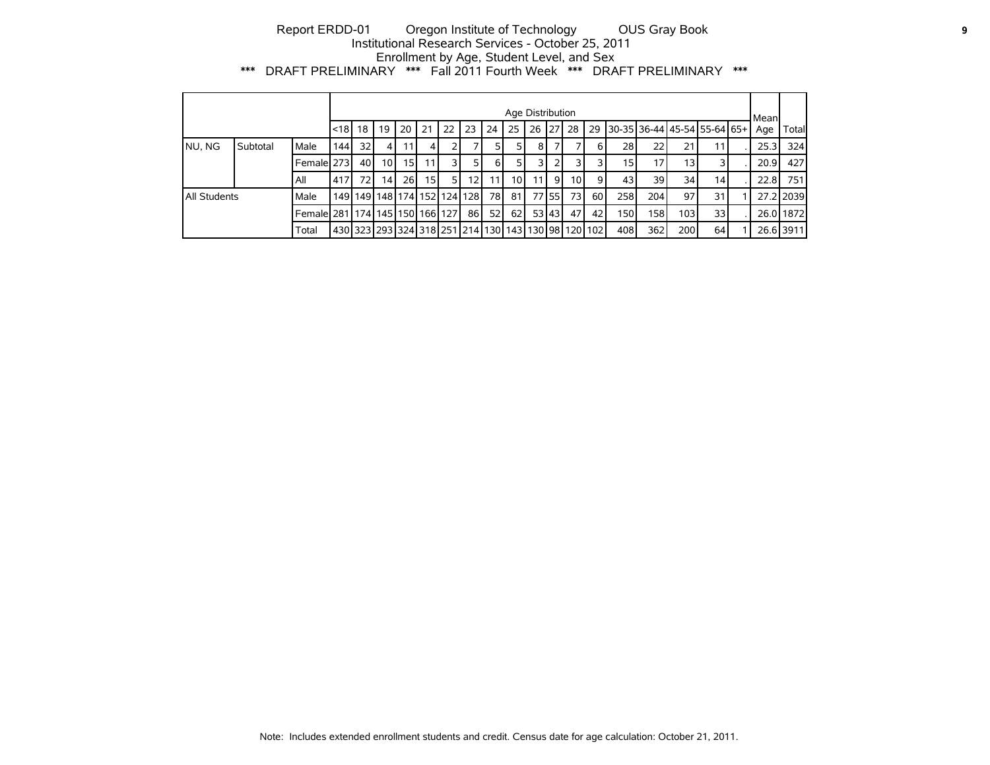## Report ERDD-01 Oregon Institute of Technology OUS Gray Book **9** Institutional Research Services - October 25, 2011 Enrollment by Age, Student Level, and Sex \*\*\* DRAFT PRELIMINARY \*\*\* Fall 2011 Fourth Week \*\*\* DRAFT PRELIMINARY \*\*\*

|                     |          |                                           |                                                                            |                 |                                         |      |      |    |      |                 | Age Distribution |                 |         |                 |                 |                  |     |                  |                                     | Mean |           |
|---------------------|----------|-------------------------------------------|----------------------------------------------------------------------------|-----------------|-----------------------------------------|------|------|----|------|-----------------|------------------|-----------------|---------|-----------------|-----------------|------------------|-----|------------------|-------------------------------------|------|-----------|
|                     |          |                                           | l<18   18                                                                  |                 | 19                                      | 20   | 21   | 22 | 23   | 24              | 25               |                 |         | 26 27 28        | 29              |                  |     |                  | 30-35   36-44   45-54   55-64   65+ | Age  | Total     |
| NU, NG              | Subtotal | Male                                      | 144                                                                        | 32 <sub>1</sub> | 4 I                                     | 11   | 4    |    |      | 51              | 51               | 81              |         |                 | 6 I             | 28               | 22  | 21               | 11                                  | 25.3 | 324       |
|                     |          | Female 273                                |                                                                            | 40              | 10 <sup>1</sup>                         | 15   |      |    |      | -61             | 51               | 31              |         |                 |                 | 151              |     | 13 <sub>1</sub>  |                                     | 20.9 | 427       |
|                     |          | All                                       | 417                                                                        | 72              | 14 <sup>1</sup>                         | 26 l | 15 I | 51 | 121  | 11 <sup>1</sup> | 10               | 11 <sup>1</sup> | -91     | 10 <sup>1</sup> | 9               | 43               | 39  | 34               | 14                                  | 22.8 | 751       |
| <b>All Students</b> |          | Male                                      |                                                                            |                 | 149   149   148   174   152   124   128 |      |      |    |      | 78 I            | -81 I            |                 | 77 55 L | 73 I            | 60 l            | 258              | 204 | 97               | 31                                  |      | 27.2 2039 |
|                     |          | Femalel 281   174   145   150   166   127 |                                                                            |                 |                                         |      |      |    | 86 I | 52 <sub>1</sub> | 62               |                 | 531431  | 47              | 42 <sub>1</sub> | 150 <sub>1</sub> | 158 | 103 <sub>1</sub> | 33 <sup>1</sup>                     |      | 26.0 1872 |
|                     |          | Total                                     | 430   323   293   324   318   251   214   130   143   130   98   120   102 |                 |                                         |      |      |    |      |                 |                  |                 |         |                 |                 | 408              | 362 | 200              | 64                                  |      | 26.6 3911 |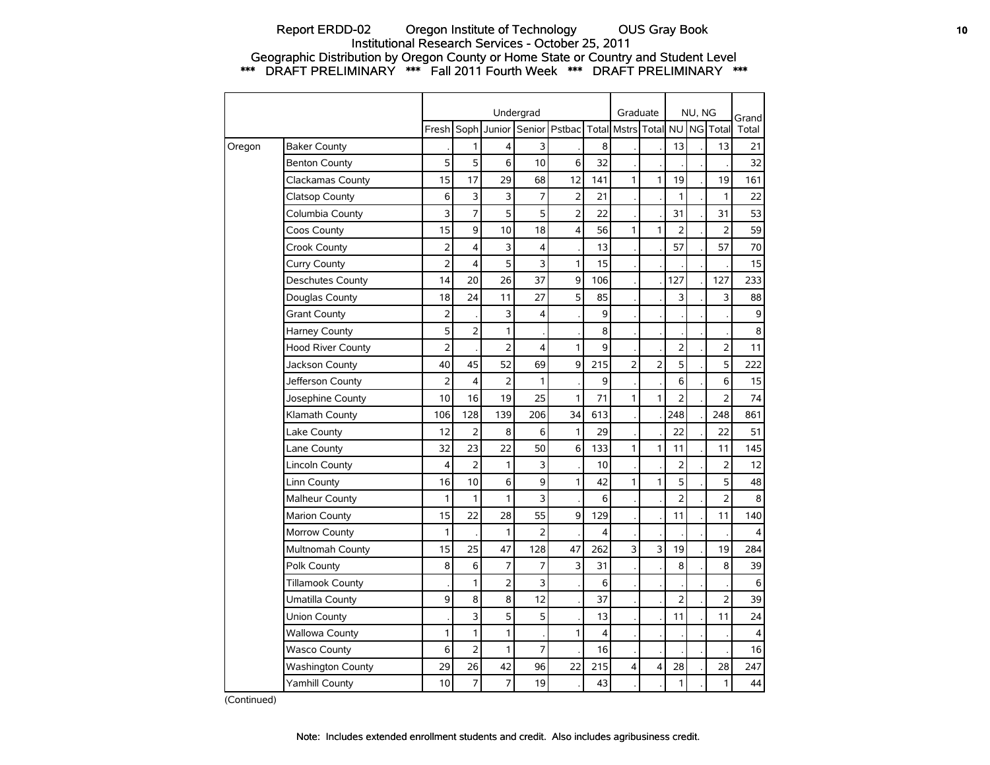## Report ERDD-02 Oregon Institute of Technology OUS Gray Book **10** Institutional Research Services - October 25, 2011 Geographic Distribution by Oregon County or Home State or Country and Student Level \*\*\* DRAFT PRELIMINARY \*\*\* Fall 2011 Fourth Week \*\*\* DRAFT PRELIMINARY \*\*\*

|        |                          |                |                         |                | Undergrad      |                |                | Graduate       |                |                | NU, NG |                | Grand          |
|--------|--------------------------|----------------|-------------------------|----------------|----------------|----------------|----------------|----------------|----------------|----------------|--------|----------------|----------------|
|        |                          | Fresh          | Soph                    | Junior         |                | Senior Pstbac  |                | Total Mstrs    | Total          | <b>NU</b>      |        | NG Total       | Total          |
| Oregon | <b>Baker County</b>      |                | 1                       | 4              | 3              |                | 8              |                |                | 13             |        | 13             | 21             |
|        | <b>Benton County</b>     | 5              | 5                       | 6              | 10             | 6              | 32             |                |                |                |        |                | 32             |
|        | Clackamas County         | 15             | 17                      | 29             | 68             | 12             | 141            | $\mathbf{1}$   | 1              | 19             |        | 19             | 161            |
|        | Clatsop County           | 6              | 3                       | 3              | 7              | $\overline{2}$ | 21             |                |                | 1              |        | $\mathbf{1}$   | 22             |
|        | Columbia County          | 3              | $\overline{7}$          | 5              | 5              | $\overline{2}$ | 22             |                |                | 31             |        | 31             | 53             |
|        | Coos County              | 15             | 9                       | 10             | 18             | 4              | 56             | $\mathbf{1}$   | $\mathbf{1}$   | $\overline{2}$ |        | $\overline{2}$ | 59             |
|        | Crook County             | $\overline{2}$ | $\overline{\mathbf{4}}$ | 3              | 4              |                | 13             |                |                | 57             |        | 57             | 70             |
|        | Curry County             | $\overline{2}$ | 4                       | 5              | 3              | 1              | 15             |                |                |                |        |                | 15             |
|        | <b>Deschutes County</b>  | 14             | 20                      | 26             | 37             | 9              | 106            |                |                | 127            |        | 127            | 233            |
|        | Douglas County           | 18             | 24                      | 11             | 27             | 5              | 85             |                |                | 3              |        | 3              | 88             |
|        | <b>Grant County</b>      | $\overline{2}$ |                         | 3              | 4              |                | 9              |                |                |                |        |                | $\mathsf g$    |
|        | <b>Harney County</b>     | 5              | $\overline{2}$          | 1              |                |                | 8              |                |                |                |        |                | 8              |
|        | <b>Hood River County</b> | $\overline{2}$ |                         | 2              | 4              | $\mathbf{1}$   | 9              |                |                | $\overline{2}$ |        | $\overline{2}$ | 11             |
|        | Jackson County           | 40             | 45                      | 52             | 69             | 9              | 215            | $\overline{2}$ | $\overline{2}$ | 5              |        | 5              | 222            |
|        | Jefferson County         | $\overline{2}$ | 4                       | 2              | 1              |                | 9              |                |                | 6              |        | 6              | 15             |
|        | Josephine County         | 10             | 16                      | 19             | 25             | 1              | 71             | $\mathbf{1}$   | 1              | $\overline{2}$ |        | $\overline{2}$ | 74             |
|        | Klamath County           | 106            | 128                     | 139            | 206            | 34             | 613            |                |                | 248            |        | 248            | 861            |
|        | Lake County              | 12             | $\overline{2}$          | 8              | 6              | 1              | 29             |                |                | 22             |        | 22             | 51             |
|        | Lane County              | 32             | 23                      | 22             | 50             | 6              | 133            | 1              | 1              | 11             |        | 11             | 145            |
|        | Lincoln County           | 4              | $\overline{2}$          | 1              | 3              |                | 10             |                |                | 2              |        | 2              | 12             |
|        | Linn County              | 16             | 10                      | 6              | 9              | 1              | 42             | 1              | 1              | 5              |        | 5              | 48             |
|        | <b>Malheur County</b>    | 1              | 1                       | 1              | 3              |                | 6              |                |                | $\overline{2}$ |        | $\overline{2}$ | 8              |
|        | <b>Marion County</b>     | 15             | 22                      | 28             | 55             | 9              | 129            |                |                | 11             |        | 11             | 140            |
|        | Morrow County            | 1              |                         | 1              | $\overline{2}$ |                | 4              |                |                |                |        |                | 4              |
|        | Multnomah County         | 15             | 25                      | 47             | 128            | 47             | 262            | 3              | 3              | 19             |        | 19             | 284            |
|        | Polk County              | 8              | 6                       | 7              | 7              | 3              | 31             |                |                | 8              |        | 8              | 39             |
|        | <b>Tillamook County</b>  |                | $\mathbf{1}$            | $\overline{2}$ | 3              |                | 6              |                |                |                |        |                | 6              |
|        | Umatilla County          | 9              | 8                       | 8              | 12             |                | 37             |                |                | $\overline{2}$ |        | $\overline{2}$ | 39             |
|        | Union County             |                | 3                       | 5              | 5              |                | 13             |                |                | 11             |        | 11             | 24             |
|        | <b>Wallowa County</b>    | 1              | $\mathbf{1}$            | 1              |                | 1              | $\overline{4}$ |                |                |                |        |                | $\overline{4}$ |
|        | <b>Wasco County</b>      | 6              | $\overline{2}$          | 1              | 7              |                | 16             |                |                |                |        |                | 16             |
|        | <b>Washington County</b> | 29             | 26                      | 42             | 96             | 22             | 215            | 4              | 4              | 28             |        | 28             | 247            |
|        | Yamhill County           | 10             | 7                       | 7              | 19             |                | 43             |                |                | 1              |        | $\mathbf{1}$   | 44             |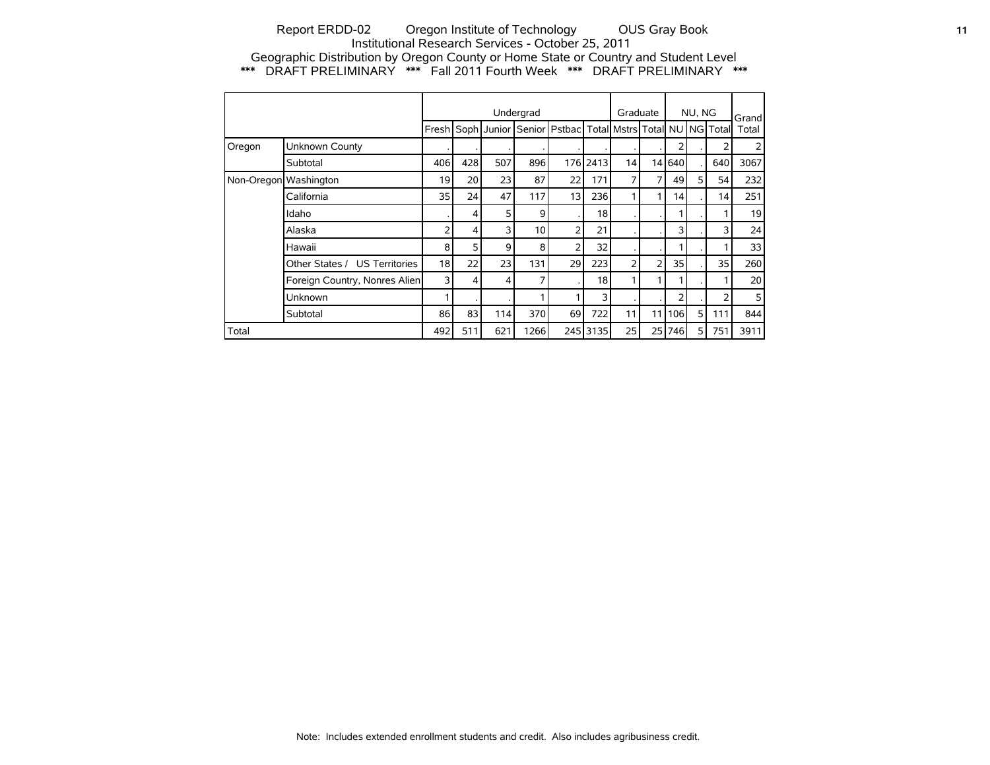## Report ERDD-02 Oregon Institute of Technology OUS Gray Book **11** Institutional Research Services - October 25, 2011 Geographic Distribution by Oregon County or Home State or Country and Student Level \*\*\* DRAFT PRELIMINARY \*\*\* Fall 2011 Fourth Week \*\*\* DRAFT PRELIMINARY \*\*\*

|                       |                               |                 |                 |     | Undergrad       |                                                                         |          | Graduate       |                |        | NU, NG |     | Grand           |
|-----------------------|-------------------------------|-----------------|-----------------|-----|-----------------|-------------------------------------------------------------------------|----------|----------------|----------------|--------|--------|-----|-----------------|
|                       |                               | Freshl          |                 |     |                 | Soph Junior   Senior   Pstbac   Total   Mstrs   Total   NU   NG   Total |          |                |                |        |        |     | Total           |
| Oregon                | Unknown County                |                 |                 |     |                 |                                                                         |          |                |                | 2      |        |     |                 |
|                       | Subtotal                      | 406             | 428             | 507 | 896             |                                                                         | 176 2413 | 14             |                | 14 640 |        | 640 | 3067            |
| Non-Oregon Washington |                               | 19              | 20 <sup>1</sup> | 23  | 87              | 22                                                                      | 171      | 7              | 7              | 49     | 5      | 54  | 232             |
|                       | California                    | 35 <sub>1</sub> | 24              | 47  | 117             | 13                                                                      | 236      |                |                | 14     |        | 14  | 251             |
|                       | Idaho                         |                 | 4               | 5   | 9               |                                                                         | 18       |                |                |        |        |     | 19              |
|                       | Alaska                        | 2               | 4               | 3   | 10 <sup>1</sup> | $\overline{2}$                                                          | 21       |                |                | 3      |        | 3   | 24              |
|                       | Hawaii                        | 8               | 5               | 9   | 8               | $\overline{2}$                                                          | 32       |                |                |        |        |     | 33              |
|                       | Other States / US Territories | 18              | 22              | 23  | 131             | 29                                                                      | 223      | 2 <sub>1</sub> | $\overline{2}$ | 35     |        | 35  | 260             |
|                       | Foreign Country, Nonres Alien | 3               | 4               | 4   | 7               |                                                                         | 18       |                |                |        |        |     | 20 <sup>1</sup> |
|                       | Unknown                       |                 |                 |     |                 |                                                                         | 3        |                |                | 2      |        | 2   | 5               |
|                       | Subtotal                      | 86              | 83              | 114 | 370             | 69                                                                      | 722      | 111            | 11             | 106    | 5      | 111 | 844             |
| Total                 |                               | 492             | 511             | 621 | 1266            |                                                                         | 245 3135 | 25             | 25             | 746    | 5      | 751 | 3911            |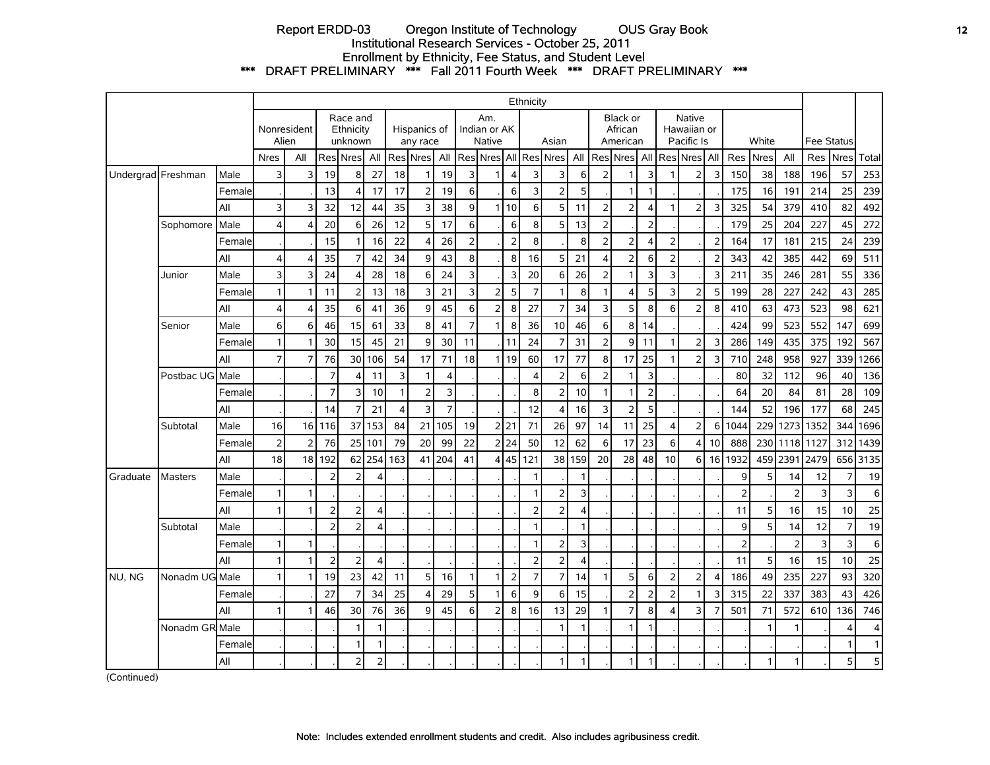## Report ERDD-03 Oregon Institute of Technology OUS Gray Book **12** Institutional Research Services - October 25, 2011 Enrollment by Ethnicity, Fee Status, and Student Level \*\*\* DRAFT PRELIMINARY \*\*\* Fall 2011 Fourth Week \*\*\* DRAFT PRELIMINARY \*\*\*

|                    |                 |        |                |                      |                |                                  |                |                |                          |                         |                |                                      |                | Ethnicity      |                |              |                         |                                        |                         |                |                                     |                |                |       |                 |                   |              |              |
|--------------------|-----------------|--------|----------------|----------------------|----------------|----------------------------------|----------------|----------------|--------------------------|-------------------------|----------------|--------------------------------------|----------------|----------------|----------------|--------------|-------------------------|----------------------------------------|-------------------------|----------------|-------------------------------------|----------------|----------------|-------|-----------------|-------------------|--------------|--------------|
|                    |                 |        |                | Nonresident<br>Alien |                | Race and<br>Ethnicity<br>unknown |                |                | Hispanics of<br>any race |                         |                | Am.<br>Indian or AK<br><b>Native</b> |                |                | Asian          |              |                         | <b>Black or</b><br>African<br>American |                         |                | Native<br>Hawaiian or<br>Pacific Is |                |                | White |                 | <b>Fee Status</b> |              |              |
|                    |                 |        | <b>Nres</b>    | All                  | Res            | Nres                             | All            | Res            | <b>Nres</b>              | All                     |                | Res Nres                             |                |                | All Res Nres   | All          |                         | Res Nres                               |                         |                | All Res Nres All                    |                | Res            | Nres  | All             | Res               | <b>Nres</b>  | Total        |
| Undergrad Freshman |                 | Male   | 3              | 3                    | 19             | 8                                | 27             | 18             | 1                        | 19                      | 3              | 1                                    | $\overline{4}$ | 3              | 3              | 6            | $\overline{2}$          | $\mathbf{1}$                           | $\overline{\mathbf{3}}$ | $\mathbf{1}$   | $\overline{2}$                      | 3              | 150            | 38    | 188             | 196               | 57           | 253          |
|                    |                 | Female |                |                      | 13             | 4                                | 17             | 17             | $\overline{2}$           | 19                      | 6              |                                      | 6              | 3              | $\overline{2}$ | 5            |                         | $\mathbf{1}$                           | $\mathbf{1}$            |                |                                     |                | 175            | 16    | 19 <sup>1</sup> | 214               | 25           | 239          |
|                    |                 | All    | 3              | Е                    | 32             | 12                               | 44             | 35             | 3                        | 38                      | 9              | 1                                    | 10             | 6              | 5              | 11           | $\overline{2}$          | $\overline{2}$                         | 4                       | $\mathbf{1}$   | 2                                   | 3              | 325            | 54    | 379             | 410               | 82           | 492          |
|                    | Sophomore       | Male   | 4              | 4                    | 20             | $6 \mid$                         | 26             | 12             | 5                        | 17                      | 6              |                                      | 6              | 8              | 5              | 13           | $\overline{2}$          |                                        | $\overline{2}$          |                |                                     |                | 179            | 25    | 204             | 227               | 45           | 272          |
|                    |                 | Female |                |                      | 15             | $\mathbf{1}$                     | 16             | 22             | 4                        | 26                      | $\overline{2}$ |                                      | $\overline{2}$ | 8              |                | 8            | $\overline{2}$          | $\overline{2}$                         | $\overline{4}$          | $\overline{2}$ |                                     | $\overline{2}$ | 164            | 17    | 181             | 215               | 24           | 239          |
|                    |                 | All    | $\overline{4}$ | 4                    | 35             | $\overline{7}$                   | 42             | 34             | 9                        | 43                      | 8              |                                      | 8              | 16             | 5              | 21           | 4                       | $\overline{2}$                         | 6                       | $\mathbf 2$    |                                     | $\overline{2}$ | 343            | 42    | 385             | 442               | 69           | 511          |
|                    | Junior          | Male   | 3              | 3                    | 24             | 4                                | 28             | 18             | 6                        | 24                      | 3              |                                      | 3              | 20             | 6              | 26           | $\overline{\mathbf{2}}$ | $\mathbf{1}$                           | 3                       | 3              |                                     | 3              | 211            | 35    | 246             | 281               | 55           | 336          |
|                    |                 | Female | $\mathbf{1}$   |                      | 11             | $\overline{2}$                   | 13             | 18             | 3                        | 21                      | 3              | $\overline{2}$                       | 5              | $\overline{7}$ | 1              | 8            | $\mathbf{1}$            | 4                                      | 5 <sup>1</sup>          | 3              | 2                                   | 5              | 199            | 28    | 227             | 242               | 43           | 285          |
|                    |                 | All    | $\overline{4}$ | $\Delta$             | 35             | 6                                | 41             | 36             | 9                        | 45                      | 6              | $\overline{2}$                       | 8              | 27             | $\overline{7}$ | 34           | 3                       | 5                                      | 8                       | 6              | 2                                   | 8              | 410            | 63    | 473             | 523               | 98           | 621          |
|                    | Senior          | Male   | 6              | 6                    | 46             | 15 <sup>1</sup>                  | 61             | 33             | 8                        | 41                      | $\overline{7}$ | $\mathbf{1}$                         | 8              | 36             | 10             | 46           | 6                       | 8                                      | 14                      |                |                                     |                | 424            | 99    | 523             | 552               | 147          | 699          |
|                    |                 | Female | $\overline{1}$ | -1                   | 30             | 15                               | 45             | 21             | 9                        | 30                      | 11             |                                      | 11             | 24             | 7              | 31           | $\overline{2}$          | 9                                      | 11                      | $\mathbf{1}$   | 2                                   | 3              | 286            | 149   | 435             | 375               | 192          | 567          |
|                    |                 | All    | $\overline{7}$ | $\overline{7}$       | 76             | 30                               | 106            | 54             | 17                       | 71                      | 18             |                                      | 1 19           | 60             | 17             | 77           | 8                       | 17                                     | 25                      | $\mathbf{1}$   | $\overline{2}$                      | $\overline{3}$ | 710            | 248   | 958             | 927               | 339          | 1266         |
|                    | Postbac UG Male |        |                |                      | $\overline{7}$ | 4                                | 11             | $\overline{3}$ | $\mathbf{1}$             | $\overline{\mathbf{4}}$ |                |                                      |                | 4              | $\overline{2}$ | 6            | $\overline{2}$          | $\overline{1}$                         | 3                       |                |                                     |                | 80             | 32    | 112             | 96                | 40           | 136          |
|                    |                 | Female |                |                      |                | $\overline{3}$                   | 10             | $\mathbf{1}$   | $\overline{2}$           | 3                       |                |                                      |                | 8              | 2              | 10           | $\mathbf{1}$            | $\mathbf 1$                            | 2 <sup>1</sup>          |                |                                     |                | 64             | 20    | 84              | 81                | 28           | 109          |
|                    |                 | All    |                |                      | 14             | $\overline{7}$                   | 21             | $\overline{4}$ | 3                        | $\overline{7}$          |                |                                      |                | 12             | 4              | 16           | 3                       | $\overline{2}$                         | 5                       |                |                                     |                | 144            | 52    | 196             | 177               | 68           | 245          |
|                    | Subtotal        | Male   | 16             | 16                   | 116            |                                  | 37 153         | 84             |                          | 21 105                  | 19             |                                      | 2 21           | 71             | 26             | 97           | 14                      | 11                                     | 25                      | 4              | $\overline{2}$                      | 6              | 1044           | 229   |                 | 1273 1352         | 344          | 1696         |
|                    |                 | Female | $\overline{2}$ | 2                    | 76             | 25                               | 101            | 79             | 20                       | 99                      | 22             |                                      | 2 24           | 50             | 12             | 62           | 6                       | 17                                     | 23                      | 6              | $\overline{4}$                      | 10             | 888            | 230   | 1118            | 1127              | 312          | 1439         |
|                    |                 | All    | 18             | 18                   | 192            | 62                               | 254            | 163            | 41                       | 204                     | 41             | 4                                    | 45             | 121            | 38             | 159          | 20                      | 28                                     | 48                      | 10             | $6 \mid$                            | 16             | 1932           | 459   | 239             | 2479              |              | 656 3135     |
| Graduate           | <b>Masters</b>  | Male   |                |                      | 2              | $\overline{2}$                   | 4              |                |                          |                         |                |                                      |                | 1              |                |              |                         |                                        |                         |                |                                     |                | 9              | 5     | 14              | 12                | 7            | 19           |
|                    |                 | Female | $\mathbf{1}$   | -1                   |                |                                  |                |                |                          |                         |                |                                      |                | 1              | 2              | 3            |                         |                                        |                         |                |                                     |                | $\overline{2}$ |       | 2               | 3                 | 3            | 6            |
|                    |                 | All    | $\overline{1}$ | 1                    | $\overline{2}$ | $\overline{2}$                   | $\overline{4}$ |                |                          |                         |                |                                      |                | $\overline{2}$ | $\overline{2}$ | 4            |                         |                                        |                         |                |                                     |                | 11             | 5     | 16              | 15                | 10           | 25           |
|                    | Subtotal        | Male   |                |                      | $\overline{2}$ | 2                                | 4              |                |                          |                         |                |                                      |                | 1              |                | $\mathbf{1}$ |                         |                                        |                         |                |                                     |                | 9              | 5     | 14              | 12                | 7            | 19           |
|                    |                 | Female | $\overline{1}$ | $\mathbf{1}$         |                |                                  |                |                |                          |                         |                |                                      |                | $\mathbf{1}$   | 2              | 3            |                         |                                        |                         |                |                                     |                | $\overline{2}$ |       | $\overline{2}$  | 3                 | 3            | $\,$ 6       |
|                    |                 | All    | $\mathbf{1}$   | $\overline{1}$       | $\overline{2}$ | $\overline{2}$                   | $\overline{4}$ |                |                          |                         |                |                                      |                | $\overline{2}$ | $\overline{2}$ | 4            |                         |                                        |                         |                |                                     |                | 11             | 5     | 16              | 15                | 10           | 25           |
| NU, NG             | Nonadm UG Male  |        | $\mathbf{1}$   | -1                   | 19             | 23                               | 42             | 11             | 5                        | 16                      | $\mathbf{1}$   | $\mathbf{1}$                         | $\overline{2}$ | $\overline{7}$ | $\overline{7}$ | 14           | 1                       | 5                                      | $6 \mid$                | $\overline{2}$ | 2                                   | $\overline{4}$ | 186            | 49    | 235             | 227               | 93           | 320          |
|                    |                 | Female |                |                      | 27             | $\overline{7}$                   | 34             | 25             | 4                        | 29                      | 5              | $\mathbf{1}$                         | 6              | 9              | 6              | 15           |                         | $\overline{2}$                         | 2                       | $\overline{2}$ | 1                                   | 3              | 315            | 22    | 337             | 383               | 43           | 426          |
|                    |                 | All    | $\overline{1}$ |                      | 46             | 30                               | 76             | 36             | 9                        | 45                      | 6              | $\overline{2}$                       | 8              | 16             | 13             | 29           | 1                       | $\overline{7}$                         | 8                       | 4              | 3                                   | 7              | 501            | 71    | 572             | 610               | 136          | 746          |
|                    | Nonadm GR Male  |        |                |                      |                | 1                                | $\mathbf{1}$   |                |                          |                         |                |                                      |                |                |                |              |                         | $\overline{1}$                         | 1                       |                |                                     |                |                |       |                 |                   | 4            | 4            |
|                    |                 | Female |                |                      |                | $\mathbf{1}$                     | 1              |                |                          |                         |                |                                      |                |                |                |              |                         |                                        |                         |                |                                     |                |                |       |                 |                   | $\mathbf{1}$ | $\mathbf{1}$ |
|                    |                 | All    |                |                      |                | $\overline{2}$                   | $\overline{2}$ |                |                          |                         |                |                                      |                |                | 1              |              |                         | 1                                      | $\mathbf{1}$            |                |                                     |                |                | 1     | 1               |                   | 5            | 5            |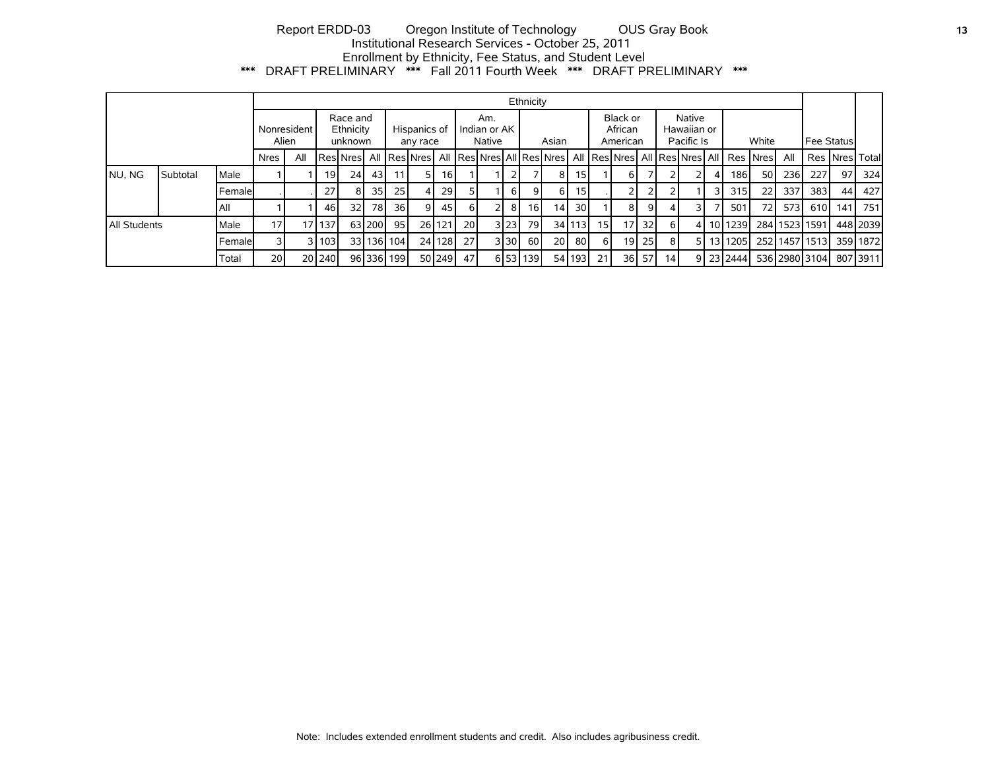# Report ERDD-03 Oregon Institute of Technology OUS Gray Book **13** Institutional Research Services - October 25, 2011 Enrollment by Ethnicity, Fee Status, and Student Level \*\*\* DRAFT PRELIMINARY \*\*\* Fall 2011 Fourth Week \*\*\* DRAFT PRELIMINARY \*\*\*

|              |          |             |                      |                                  |                 |                          |        |                                 |    |        |      |                                 |         | Ethnicity       |                                     |        |                 |                 |                 |                |    |                                                                                                     |    |               |                |                  |          |
|--------------|----------|-------------|----------------------|----------------------------------|-----------------|--------------------------|--------|---------------------------------|----|--------|------|---------------------------------|---------|-----------------|-------------------------------------|--------|-----------------|-----------------|-----------------|----------------|----|-----------------------------------------------------------------------------------------------------|----|---------------|----------------|------------------|----------|
|              |          |             | Nonresident<br>Alien | Race and<br>Ethnicity<br>unknown |                 | Hispanics of<br>any race |        | Am.<br>Indian or AK I<br>Native |    | Asian  |      | Black or<br>African<br>American |         |                 | Native<br>Hawaiian or<br>Pacific Is |        | White           |                 |                 | Fee Statusl    |    |                                                                                                     |    |               |                |                  |          |
|              |          |             | <b>Nres</b>          | All                              |                 |                          |        |                                 |    |        |      |                                 |         |                 |                                     |        |                 |                 |                 |                |    | ResNresNill ResNresNill ResNiesNill ResNill ResNiesNill ResNiesNiesNill ResNiesNill ResNiesNill Res |    | All           |                | <b>Res Nresl</b> | l Total  |
| NU, NG       | Subtotal | Male        |                      |                                  | 19 <sup>1</sup> | 24                       | 43     |                                 | 51 | 16 I   |      |                                 |         |                 | 8                                   | 151    |                 | 6 I             |                 |                |    | 186                                                                                                 | 50 | 236           | 227            | 97               | 324      |
|              |          | Femalel     |                      |                                  | 27 <sup>1</sup> | 8                        | 35     | 25                              | 41 | 29 l   |      |                                 | 6       | 9               | 61                                  | 15     |                 |                 |                 |                |    | 315                                                                                                 | 22 | 337           | 383            | 44               | 427      |
|              |          | IAII        |                      |                                  | 46              | 32I                      | 78     | 36                              | 91 | 45     | 6 I  |                                 | 8       | 16 <sup>1</sup> | 14 <sub>1</sub>                     | 30     |                 | 81              | 9               | $\overline{4}$ | 31 | 501                                                                                                 | 72 | 573           | 610            | 141              | 751      |
| All Students |          | <b>Male</b> | 17                   |                                  | 17 137          |                          | 63 200 | 95                              |    | 26 121 | 20 l |                                 | 3 23    | 79              |                                     | 34 113 | 15 <sub>l</sub> | 17 <sub>1</sub> | 32 <sup>1</sup> | 6              | 41 | 10 1239                                                                                             |    | 284 1523 1591 |                |                  | 448 2039 |
|              |          | Femalel     |                      |                                  | 3 103           |                          |        | 33 136 104                      |    | 24 128 | 27   |                                 | 3 3 0 L | 60 l            | <b>20</b>                           | 80     | 6 I             |                 | $19$ 25         | -81            | 51 | 13 1205                                                                                             |    |               | 25211457115131 |                  | 359 1872 |
|              |          | Total       | 20 l                 |                                  | 2012401         |                          |        | 96 336 199                      |    | 50 249 | 47   |                                 |         | 6 53 139        |                                     | 54 193 | 21              |                 | $36$ 57         | 14             |    | 9 23 2444                                                                                           |    |               | 536 2980 3104  |                  | 807 3911 |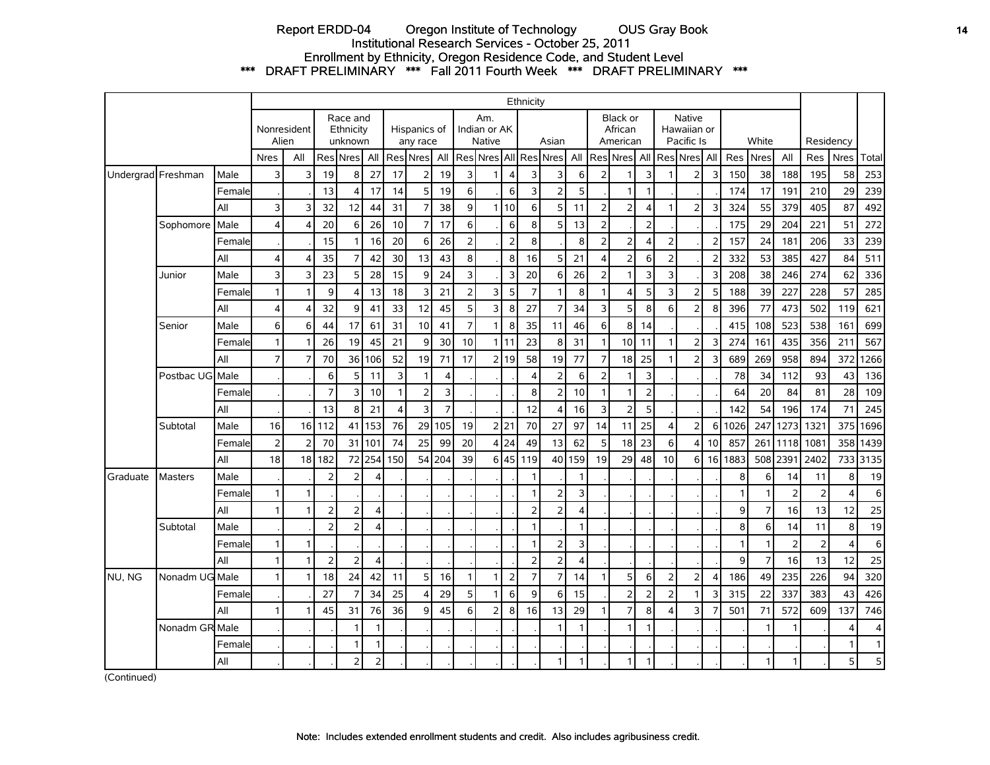## Report ERDD-04 Oregon Institute of Technology OUS Gray Book **14** Institutional Research Services - October 25, 2011 Enrollment by Ethnicity, Oregon Residence Code, and Student Level \*\*\* DRAFT PRELIMINARY \*\*\* Fall 2011 Fourth Week \*\*\* DRAFT PRELIMINARY \*\*\*

|          |                      |        |                |                |                |                                  |                |                |                          |                |                |                                      |                | Ethnicity               |                |                |                |                                        |                |                         |                                     |                |              |                |                |                |                |              |
|----------|----------------------|--------|----------------|----------------|----------------|----------------------------------|----------------|----------------|--------------------------|----------------|----------------|--------------------------------------|----------------|-------------------------|----------------|----------------|----------------|----------------------------------------|----------------|-------------------------|-------------------------------------|----------------|--------------|----------------|----------------|----------------|----------------|--------------|
|          | Nonresident<br>Alien |        |                |                |                | Race and<br>Ethnicity<br>unknown |                |                | Hispanics of<br>any race |                |                | Am.<br>Indian or AK<br><b>Native</b> |                |                         | Asian          |                |                | <b>Black or</b><br>African<br>American |                |                         | Native<br>Hawaiian or<br>Pacific Is |                |              | White          |                | Residency      |                |              |
|          |                      |        | <b>Nres</b>    | All            |                | Res Nres                         | All            |                | Res Nres                 | All            |                | Res Nres All                         |                |                         | Res Nres       | All            |                | Res Nres   All                         |                |                         | <b>Res</b> Nres                     | All            | Res          | <b>Nres</b>    | All            | Res            | <b>Nres</b>    | Total        |
|          | Undergrad Freshman   | Male   | 3              | 3              | 19             | 8                                | 27             | 17             | $\overline{2}$           | 19             | 3              | 1                                    | 4              | 3                       | 3              | 6              | 2 <sup>1</sup> | $\mathbf{1}$                           | 3              | $\overline{\mathbf{1}}$ | $\overline{2}$                      | 3              | 150          | 38             | 188            | 195            | 58             | 253          |
|          |                      | Female |                |                | 13             | Δ                                | 17             | 14             | 5                        | 19             | 6              |                                      | 6              | $\overline{\mathbf{3}}$ | $\overline{2}$ | 5              |                | $\mathbf{1}$                           | $\mathbf{1}$   |                         |                                     |                | 174          | 17             | 191            | 210            | 29             | 239          |
|          |                      | All    | 3              | 3              | 32             | 12                               | 44             | 31             |                          | 38             | 9              |                                      | 1110           | 6                       | 5              | 11             | 2              | $\overline{2}$                         | $\overline{4}$ | $\mathbf{1}$            | $\overline{2}$                      | 3              | 324          | 55             | 379            | 405            | 87             | 492          |
|          | Sophomore            | Male   | $\overline{4}$ | 4              | 20             | 6                                | 26             | 10             | 7                        | 17             | 6              |                                      | 6              | 8                       | 5              | 13             | 2              |                                        | $\overline{2}$ |                         |                                     |                | 175          | 29             | 204            | 221            | 51             | 272          |
|          |                      | Female |                |                | 15             | $\mathbf{1}$                     | 16             | 20             | 6                        | 26             | $\overline{2}$ |                                      | $\overline{2}$ | 8                       |                | 8              | 2 <sup>1</sup> | $\overline{2}$                         | $\overline{4}$ | $\overline{2}$          |                                     | $\overline{2}$ | 157          | 24             | 181            | 206            | 33             | 239          |
|          |                      | All    | 4              | 4              | 35             | $\overline{7}$                   | 42             | 30             | 13                       | 43             | 8              |                                      | 8              | 16                      | 5              | 21             | $\overline{4}$ | 2 <sup>1</sup>                         | 6              | $\overline{2}$          |                                     | $\overline{2}$ | 332          | 53             | 385            | 427            | 84             | 511          |
|          | Junior               | Male   | 3              | 3              | 23             | 5                                | 28             | 15             | 9                        | 24             | 3              |                                      | 3              | 20                      | 6              | 26             | 2              | 1                                      | 3              | 3                       |                                     | 3              | 208          | 38             | 246            | 274            | 62             | 336          |
|          |                      | Female | $\mathbf{1}$   | $\overline{1}$ | 9              | Δ                                | 13             | 18             | 3                        | 21             | $\overline{2}$ | 3                                    | 5              | $\overline{7}$          | $\overline{1}$ | 8              | $\mathbf{1}$   | 4                                      | 5              | $\overline{3}$          | $\overline{2}$                      | 5              | 188          | 39             | 227            | 228            | 57             | 285          |
|          |                      | All    | 4              | 4              | 32             | 9                                | 41             | 33             | 12                       | 45             | 5              | 3                                    | 8              | 27                      | $\overline{7}$ | 34             | $\overline{3}$ | 5                                      | 8              | 6                       | $\overline{2}$                      | 8              | 396          | 77             | 473            | 502            | 119            | 621          |
|          | Senior               | Male   | 6              | 6              | 44             | 17                               | 61             | 31             | 10                       | 41             | $\overline{7}$ | $\mathbf{1}$                         | 8              | 35                      | 11             | 46             | $6 \mid$       | 8 <sup>1</sup>                         | 14             |                         |                                     |                | 415          | 108            | 523            | 538            | 161            | 699          |
|          |                      | Female | $\mathbf{1}$   | $\mathbf{1}$   | 26             | 19                               | 45             | 21             | 9                        | 30             | 10             | $\mathbf{1}$                         | 11             | 23                      | 8              | 31             | 1              | 10 <sup>1</sup>                        | 11             | $\mathbf{1}$            | $\overline{2}$                      | 3              | 274          | 161            | 435            | 356            | 211            | 567          |
|          |                      | All    | $\overline{7}$ | $\overline{7}$ | 70             |                                  | 36 106         | 52             | 19                       | 71             | 17             |                                      | 2 19           | 58                      | 19             | 77             | $\overline{7}$ | 18                                     | 25             | $\mathbf{1}$            | $\overline{2}$                      | 3              | 689          | 269            | 958            | 894            | 372            | 1266         |
|          | Postbac UG           | Male   |                |                | 6              | 5                                | 11             | 3              | 1                        | $\overline{4}$ |                |                                      |                | $\overline{4}$          | $\overline{c}$ | 6              | 2              | 1                                      | 3              |                         |                                     |                | 78           | 34             | 112            | 93             | 43             | 136          |
|          |                      | Female |                |                | $\overline{7}$ | 3                                | 10             | $\mathbf{1}$   | $\overline{2}$           | 3              |                |                                      |                | 8                       | $\overline{2}$ | 10             | $\mathbf{1}$   | $\mathbf{1}$                           | $\overline{2}$ |                         |                                     |                | 64           | 20             | 84             | 81             | 28             | 109          |
|          |                      | All    |                |                | 13             | 8                                | 21             | $\overline{4}$ | 3                        | $\overline{7}$ |                |                                      |                | 12                      | 4              | 16             | $\overline{3}$ | 2 <sup>1</sup>                         | 5              |                         |                                     |                | 142          | 54             | 196            | 174            | 71             | 245          |
|          | Subtotal             | Male   | 16             | 16             | 112            | 41                               | 153            | 76             | 29                       | 105            | 19             |                                      | 2 21           | 70                      | 27             | 97             | 14             | 11                                     | 25             | $\overline{4}$          | 2                                   | 6              | 1026         | 247            | 1273           | 1321           | 375            | 1696         |
|          |                      | Female | $\overline{2}$ | $\overline{2}$ | 70             | 31                               | 101            | 74             | 25                       | 99             | 20             |                                      | 4 24           | 49                      | 13             | 62             | 5              | 18 <sup>1</sup>                        | 23             | 6                       | $\boldsymbol{\Delta}$               | 10             | 857          | 261            | 1118           | 1081           | 358            | 1439         |
|          |                      | All    | 18             | 18             | 182            | 72                               | 254            | 150            | 54                       | 204            | 39             | 6                                    | 45             | 119                     | 40             | 159            | 19             | 29                                     | 48             | 10                      | 6                                   | 16             | 1883         | 508            | 2391           | 2402           | 733            | 3135         |
| Graduate | <b>Masters</b>       | Male   |                |                | $\overline{2}$ | $\overline{2}$                   | 4              |                |                          |                |                |                                      |                | $\mathbf{1}$            |                | $\mathbf{1}$   |                |                                        |                |                         |                                     |                | 8            | 6              | 14             | 11             | 8              | 19           |
|          |                      | Female | $\mathbf{1}$   | $\mathbf{1}$   |                |                                  |                |                |                          |                |                |                                      |                | $\mathbf{1}$            | $\overline{2}$ | $\overline{3}$ |                |                                        |                |                         |                                     |                | 1            | $\mathbf{1}$   | $\overline{2}$ | $\overline{2}$ | $\overline{4}$ | 6            |
|          |                      | All    | $\mathbf{1}$   | $\mathbf{1}$   | $\overline{2}$ | $\overline{2}$                   | 4              |                |                          |                |                |                                      |                | $\overline{2}$          | $\overline{2}$ | $\overline{A}$ |                |                                        |                |                         |                                     |                | 9            | $\overline{7}$ | 16             | 13             | 12             | 25           |
|          | Subtotal             | Male   |                |                | $\overline{2}$ | $\overline{2}$                   | 4              |                |                          |                |                |                                      |                | $\mathbf{1}$            |                | $\overline{1}$ |                |                                        |                |                         |                                     |                | 8            | 6              | 14             | 11             | 8              | 19           |
|          |                      | Female | $\mathbf{1}$   | $\mathbf{1}$   |                |                                  |                |                |                          |                |                |                                      |                | $\mathbf{1}$            | $\overline{c}$ | 3              |                |                                        |                |                         |                                     |                | $\mathbf{1}$ | $\mathbf{1}$   | $\overline{2}$ | $\overline{2}$ | $\overline{4}$ | 6            |
|          |                      | All    | $\mathbf{1}$   | $\overline{1}$ | $\overline{2}$ | $\overline{2}$                   | 4              |                |                          |                |                |                                      |                | $\overline{2}$          | $\overline{c}$ | 4              |                |                                        |                |                         |                                     |                | 9            | $\overline{7}$ | 16             | 13             | 12             | 25           |
| NU, NG   | Nonadm UG Male       |        | $\mathbf{1}$   | $\overline{1}$ | 18             | 24                               | 42             | 11             | 5                        | 16             | $\mathbf{1}$   | $\mathbf{1}$                         | $\overline{2}$ | $\overline{7}$          | $\overline{7}$ | 14             | 1              | 5 <sup>1</sup>                         | 6              | $\overline{2}$          | $\overline{2}$                      | $\overline{4}$ | 186          | 49             | 235            | 226            | 94             | 320          |
|          |                      | Female |                |                | 27             | 7                                | 34             | 25             | 4                        | 29             | 5              | $\mathbf{1}$                         | 6              | 9                       | 6              | 15             |                | 2 <sup>1</sup>                         | $\overline{2}$ | $\overline{2}$          | -1                                  | 3              | 315          | 22             | 337            | 383            | 43             | 426          |
|          |                      | All    | $\mathbf{1}$   | 1              | 45             | 31                               | 76             | 36             | q                        | 45             | 6              | $\overline{2}$                       | 8              | 16                      | 13             | 29             |                | $\overline{7}$                         | 8              | $\Delta$                | 3                                   | $\overline{7}$ | 501          | 71             | 572            | 609            | 137            | 746          |
|          | Nonadm GR Male       |        |                |                |                |                                  | $\overline{1}$ |                |                          |                |                |                                      |                |                         | $\overline{1}$ |                |                | 1                                      | $\overline{1}$ |                         |                                     |                |              | 1              | 1              |                | 4              | 4            |
|          |                      | Female |                |                |                | $\mathbf{1}$                     | 1              |                |                          |                |                |                                      |                |                         |                |                |                |                                        |                |                         |                                     |                |              |                |                |                | $\mathbf{1}$   | $\mathbf{1}$ |
|          |                      | All    |                |                |                | $\overline{2}$                   | $\overline{2}$ |                |                          |                |                |                                      |                |                         | $\mathbf{1}$   | $\mathbf{1}$   |                | $\mathbf{1}$                           | $\mathbf{1}$   |                         |                                     |                |              | 1              | $\mathbf{1}$   |                | 5              | 5            |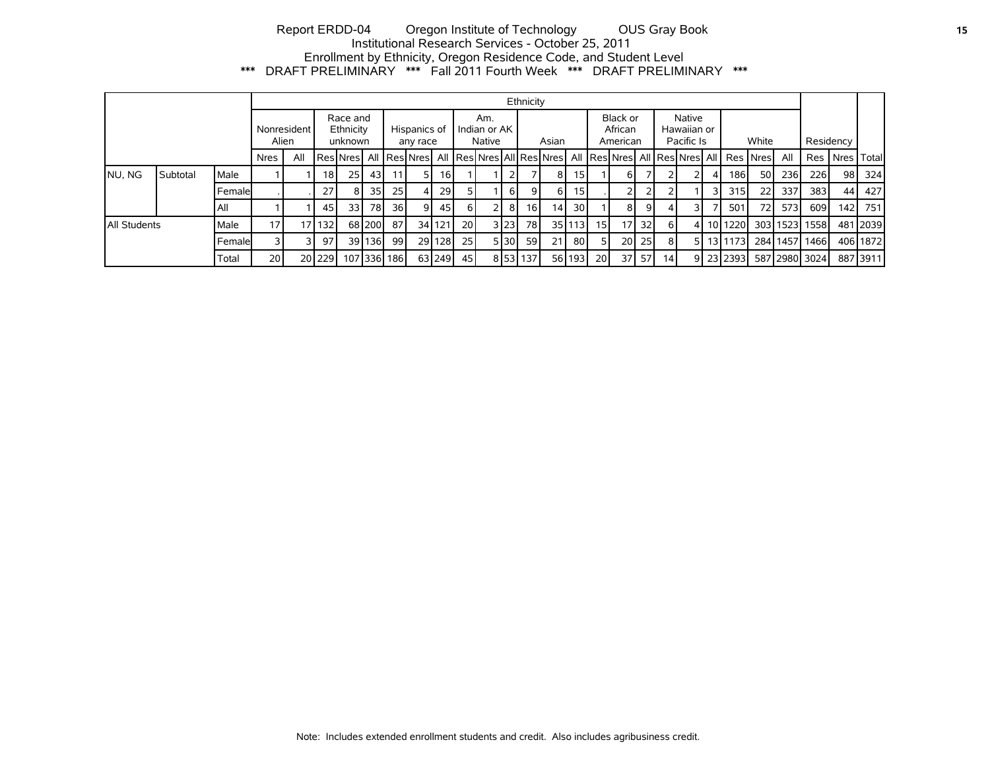# Report ERDD-04 Oregon Institute of Technology OUS Gray Book **15** Institutional Research Services - October 25, 2011 Enrollment by Ethnicity, Oregon Residence Code, and Student Level \*\*\* DRAFT PRELIMINARY \*\*\* Fall 2011 Fourth Week \*\*\* DRAFT PRELIMINARY \*\*\*

|                      |          |        | Ethnicity                        |                 |                  |      |                          |             |                                                     |                               |     |       |      |                                 |    |                 |                                     |                 |                 |              |  |   |                                        |    |      |               |      |              |
|----------------------|----------|--------|----------------------------------|-----------------|------------------|------|--------------------------|-------------|-----------------------------------------------------|-------------------------------|-----|-------|------|---------------------------------|----|-----------------|-------------------------------------|-----------------|-----------------|--------------|--|---|----------------------------------------|----|------|---------------|------|--------------|
| Nonresident<br>Alien |          |        | Race and<br>Ethnicity<br>unknown |                 |                  |      | Hispanics of<br>any race |             |                                                     | Am.<br>Indian or AK<br>Native |     | Asian |      | Black or<br>African<br>American |    |                 | Native<br>Hawaiian or<br>Pacific Is |                 |                 | White        |  |   | Residency                              |    |      |               |      |              |
|                      |          |        | <b>Nres</b>                      | All             |                  |      |                          |             | Res Nres  All  Res Nres  All  Res Nres All Res Nres |                               |     |       |      |                                 |    |                 |                                     |                 |                 |              |  |   | All Res Nres All Res Nres All Res Nres |    | All  | <b>Res</b>    | Nres | <b>Total</b> |
| NU, NG               | Subtotal | Male   |                                  |                 | 18 I             | 25 I | 43 <sub>l</sub>          | 11          | 51                                                  | 16                            |     |       |      |                                 | 8  | 15 I            |                                     | 6               |                 |              |  | 4 | 1861                                   | 50 | 236I | <b>226</b>    | 98   | 324          |
|                      |          | Female |                                  |                 | 27               | 8    | 35 <sub>l</sub>          | 25          |                                                     | 29                            |     |       | 6 I  |                                 | 6  | 15 <sup>1</sup> |                                     |                 |                 |              |  |   | 315                                    | 22 | 337  | 383           | 44   | 427          |
|                      |          | All    |                                  |                 | 45               | 33 I | 78I                      | 36 l        | 9                                                   | 45                            | 6 I |       | 81   | 16 <sup>1</sup>                 | 14 | 30 l            |                                     | 8               | 9               |              |  |   | 50 <sup>°</sup>                        | 72 | 573  | 609           | 142  | 751          |
| All Students         |          | Male   | 17                               | 17 <sub>1</sub> | 132 <sub>l</sub> |      | 68 200                   | 87          |                                                     | 34 121                        | 20  |       | 3 23 | 78I                             |    | 35 113          | 15 <sup>1</sup>                     | 17 <sup>1</sup> | 32 <sub>l</sub> | <sup>6</sup> |  |   | 4 10 1220                              |    |      | 303 1523 1558 |      | 481 2039     |
|                      |          | Female |                                  |                 | 97               |      | 39 136                   | 99          |                                                     | 29 128                        | 25  |       | 530  | <b>591</b>                      | 21 | 80 I            | 51                                  | 20 <sup>1</sup> | <b>251</b>      | 8            |  |   | 5 13 1173                              |    |      | 284 1457 1466 |      | 406 1872     |
|                      |          | Total  | 20 <sub>l</sub>                  |                 | 2012291          |      |                          | 107 336 186 |                                                     | 63 249                        | 45  |       |      | 8 53 137                        |    | 56 193          | 20 l                                | 37 <sup>1</sup> | 57 I            | 14           |  |   | 9 23 23 23                             |    |      | 587 2980 3024 |      | 887 3911     |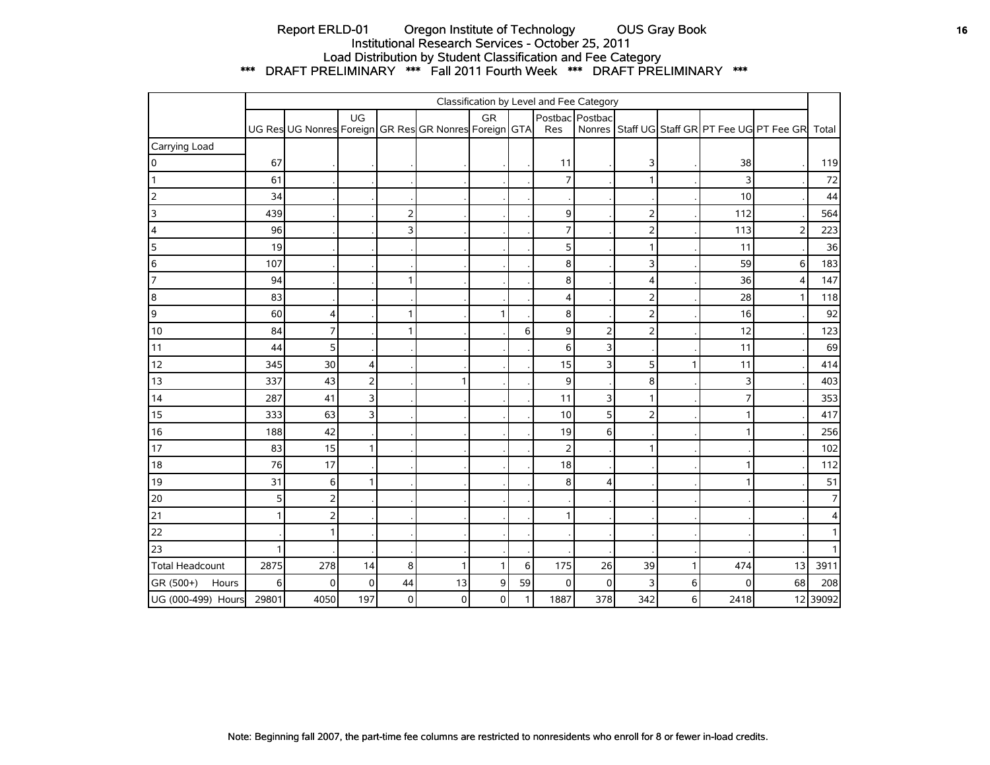# Report ERLD-01 Oregon Institute of Technology OUS Gray Book **16** Institutional Research Services - October 25, 2011 Load Distribution by Student Classification and Fee Category \*\*\* DRAFT PRELIMINARY \*\*\* Fall 2011 Fourth Week \*\*\* DRAFT PRELIMINARY \*\*\*

|                        | Classification by Level and Fee Category |                                                       |                         |                |           |              |              |                |                 |                |   |      |                                              |                 |
|------------------------|------------------------------------------|-------------------------------------------------------|-------------------------|----------------|-----------|--------------|--------------|----------------|-----------------|----------------|---|------|----------------------------------------------|-----------------|
|                        |                                          | UG Res UG Nonres Foreign GR Res GR Nonres Foreign GTA | UG                      |                |           | <b>GR</b>    |              | Res            | Postbac Postbac |                |   |      | Nonres Staff UG Staff GR PT Fee UG PT Fee GR | Total           |
| Carrying Load          |                                          |                                                       |                         |                |           |              |              |                |                 |                |   |      |                                              |                 |
| 0                      | 67                                       |                                                       |                         |                |           |              |              | 11             |                 | 3              |   | 38   |                                              | 119             |
|                        | 61                                       |                                                       |                         |                |           |              |              | $\overline{7}$ |                 | $\mathbf{1}$   |   | 3    |                                              | 72              |
| $\overline{2}$         | 34                                       |                                                       |                         |                |           |              |              |                |                 |                |   | 10   |                                              | 44              |
| 3                      | 439                                      |                                                       |                         | $\overline{2}$ |           |              |              | 9              |                 | $\mathbf 2$    |   | 112  |                                              | 564             |
| $\overline{4}$         | 96                                       |                                                       |                         | 3              |           |              |              | $\overline{7}$ |                 | $\mathbf 2$    |   | 113  | $\overline{2}$                               | 223             |
| 5                      | 19                                       |                                                       |                         |                |           |              |              | 5              |                 | $\mathbf{1}$   |   | 11   |                                              | 36              |
| 6                      | 107                                      |                                                       |                         |                |           |              |              | 8              |                 | 3              |   | 59   | 6                                            | 183             |
| 7                      | 94                                       |                                                       |                         | 1              |           |              |              | 8              |                 | 4              |   | 36   | $\overline{4}$                               | 147             |
| $\boldsymbol{8}$       | 83                                       |                                                       |                         |                |           |              |              | $\overline{4}$ |                 |                |   | 28   | $\mathbf{1}$                                 | 118             |
| $\overline{9}$         | 60                                       | 4                                                     |                         | 1              |           | 1            |              | 8              |                 |                |   | 16   |                                              | 92              |
| 10                     | 84                                       | 7                                                     |                         | 1              |           |              | 6            | 9              | $\overline{2}$  | $\overline{2}$ |   | 12   |                                              | 123             |
| 11                     | 44                                       | 5                                                     |                         |                |           |              |              | 6              | 3               |                |   | 11   |                                              | 69              |
| 12                     | 345                                      | 30                                                    | $\vert$                 |                |           |              |              | 15             | 3               | 5              | 1 | 11   |                                              | 414             |
| 13                     | 337                                      | 43                                                    | $\overline{2}$          |                | 1         |              |              | 9              |                 | 8              |   | 3    |                                              | 403             |
| 14                     | 287                                      | 41                                                    | $\overline{\mathbf{3}}$ |                |           |              |              | 11             | 3               | $\mathbf{1}$   |   | 7    |                                              | 353             |
| 15                     | 333                                      | 63                                                    | $\overline{\mathsf{3}}$ |                |           |              |              | 10             | 5               | $\mathbf 2$    |   | 1    |                                              | 417             |
| 16                     | 188                                      | 42                                                    |                         |                |           |              |              | 19             | 6               |                |   |      |                                              | 256             |
| 17                     | 83                                       | 15                                                    | $\mathbf{1}$            |                |           |              |              | $\overline{2}$ |                 | $\mathbf{1}$   |   |      |                                              | 102             |
| 18                     | 76                                       | 17                                                    |                         |                |           |              |              | 18             |                 |                |   |      |                                              | 112             |
| 19                     | 31                                       | 6                                                     | $\mathbf{1}$            |                |           |              |              | 8              | 4               |                |   |      |                                              | 51              |
| 20                     | 5 <sub>l</sub>                           | 2                                                     |                         |                |           |              |              |                |                 |                |   |      |                                              | $\overline{7}$  |
| 21                     | $\mathbf{1}$                             | $\overline{2}$                                        |                         |                |           |              |              | 1              |                 |                |   |      |                                              | $\vert 4 \vert$ |
| 22                     |                                          | 1                                                     |                         |                |           |              |              |                |                 |                |   |      |                                              | 1               |
| 23                     | 1                                        |                                                       |                         |                |           |              |              |                |                 |                |   |      |                                              | 1               |
| <b>Total Headcount</b> | 2875                                     | 278                                                   | 14                      | 8              | 1         | $\mathbf{1}$ | 6            | 175            | 26              | 39             | 1 | 474  | 13                                           | 3911            |
| GR (500+)<br>Hours     | 6                                        | 0                                                     | $\overline{0}$          | 44             | 13        | 9            | 59           | 0              | $\mathbf 0$     | 3              | 6 | 0    | 68                                           | 208             |
| UG (000-499) Hours     | 29801                                    | 4050                                                  | 197                     | $\pmb{0}$      | $\pmb{0}$ | $\pmb{0}$    | $\mathbf{1}$ | 1887           | 378             | 342            | 6 | 2418 |                                              | 12 39092        |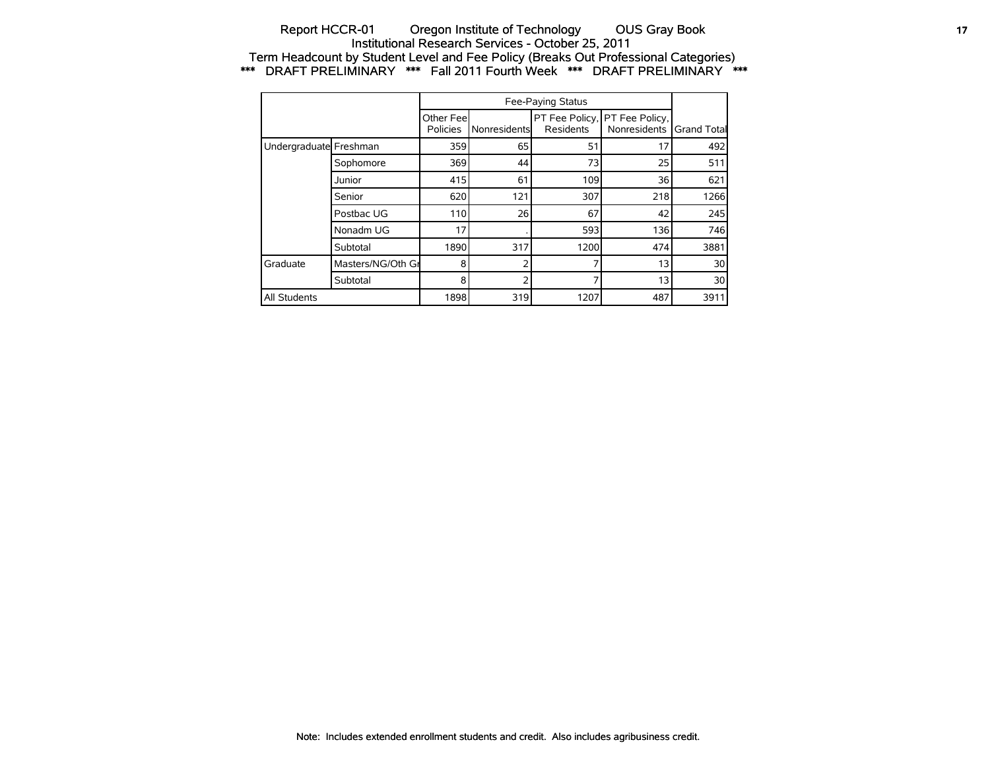## Report HCCR-01 Oregon Institute of Technology OUS Gray Book **17** 17 Institutional Research Services - October 25, 2011 Term Headcount by Student Level and Fee Policy (Breaks Out Professional Categories) \*\*\* DRAFT PRELIMINARY \*\*\* Fall 2011 Fourth Week \*\*\* DRAFT PRELIMINARY \*\*\*

|                        |                   | Other Fee<br>Policies | Nonresidents | Residents | PT Fee Policy, PT Fee Policy,<br>Nonresidents | <b>Grand Total</b> |
|------------------------|-------------------|-----------------------|--------------|-----------|-----------------------------------------------|--------------------|
| Undergraduate Freshman |                   | 359                   | 65           | 51        | 17                                            | 492                |
|                        | Sophomore         | 369                   | 44           | 73        | 25                                            | 511                |
|                        | Junior            | 415                   | 61           | 109       | 36                                            | 621                |
|                        | Senior            | 620                   | 121          | 307       | 218                                           | 1266               |
|                        | Postbac UG        | 110                   | 26           | 67        | 42                                            | 245                |
|                        | Nonadm UG         | 17                    |              | 593       | 136                                           | 746                |
|                        | Subtotal          | 1890                  | 317          | 1200      | 474                                           | 3881               |
| <b>Graduate</b>        | Masters/NG/Oth Gr | 8                     | 2            |           | 13                                            | 30 <sup>1</sup>    |
|                        | Subtotal          | 8                     | 2            |           | 13                                            | 30                 |
| All Students           |                   | 1898                  | 319          | 1207      | 487                                           | 3911               |